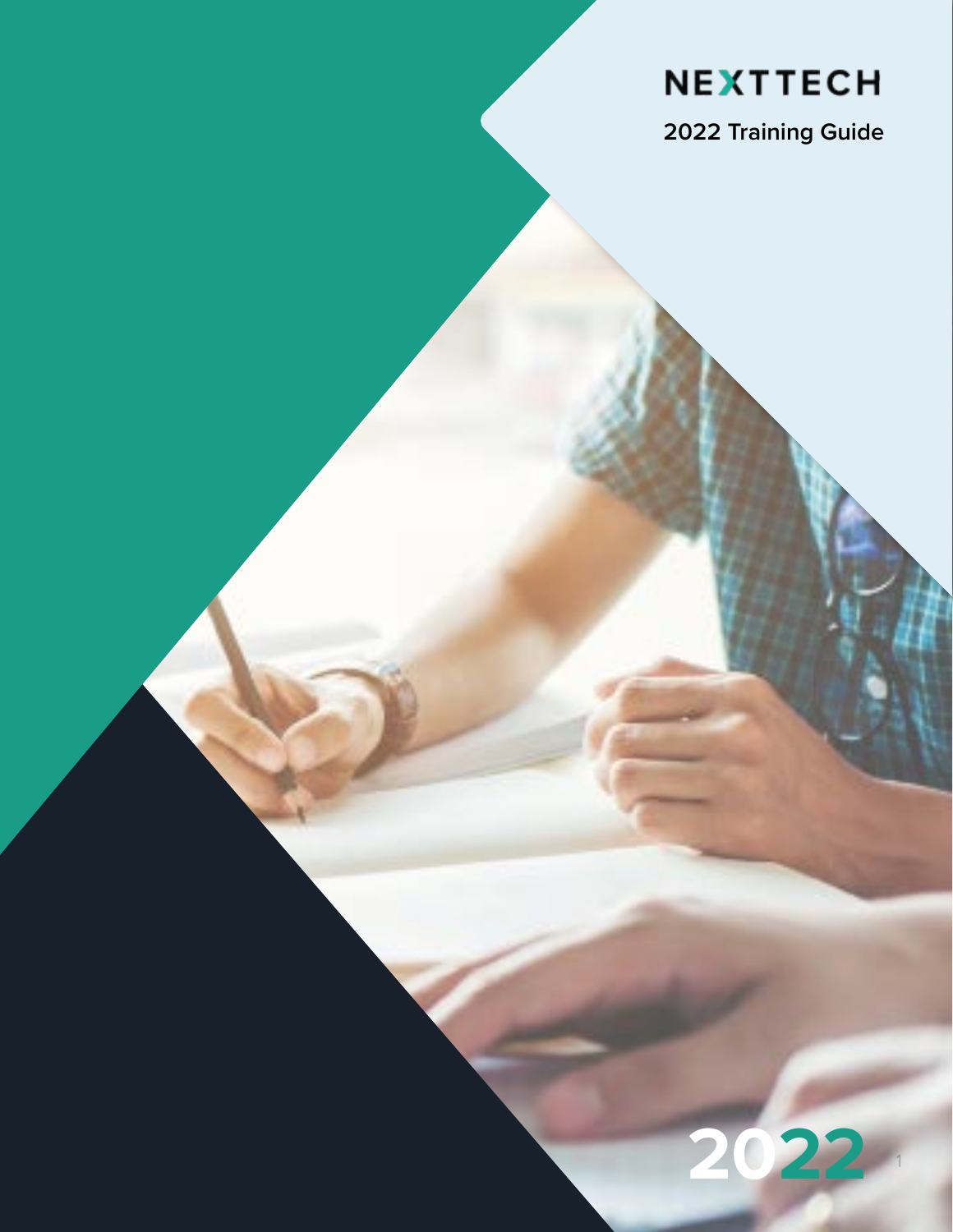### **NEXTTECH**

**2022 Training Guide**

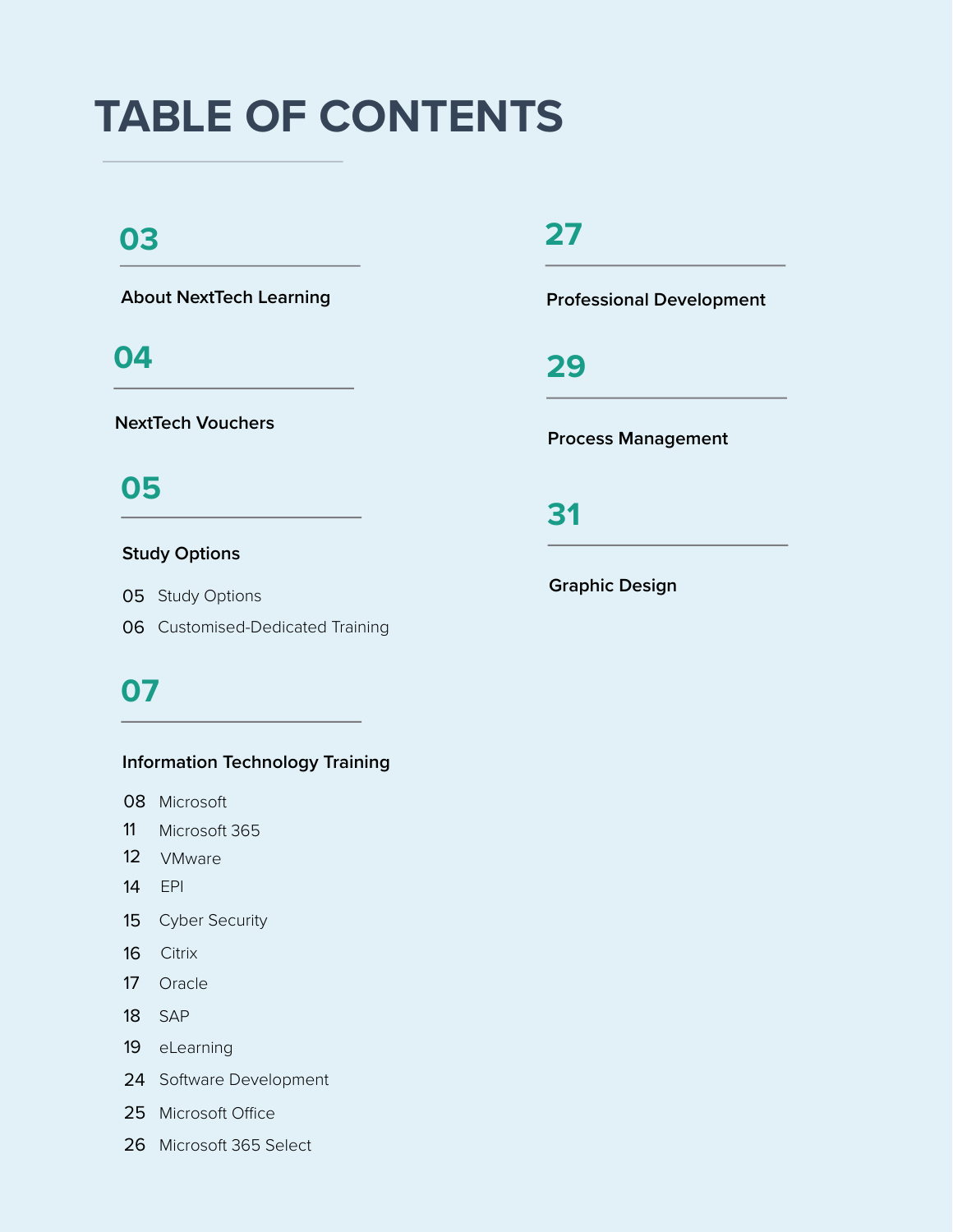# **TABLE OF CONTENTS**

### **03**

**About NextTech Learning**

### **04**

**NextTech Vouchers**

### **05**

#### **Study Options**

05 Study Options

06 Customised-Dedicated Training

### **07**

#### **Information Technology Training**

- 08 Microsoft
- 11 Microsoft 365
- 12 VMware
- 14 EPI
- 15 Cyber Security
- 16 Citrix
- 17 Oracle
- 18 SAP
- 19 eLearning
- 24 Software Development
- 25 Microsoft Office
- 26 Microsoft 365 Select

### **27**

**Professional Development**

**29**

**Process Management**

**31**

**Graphic Design**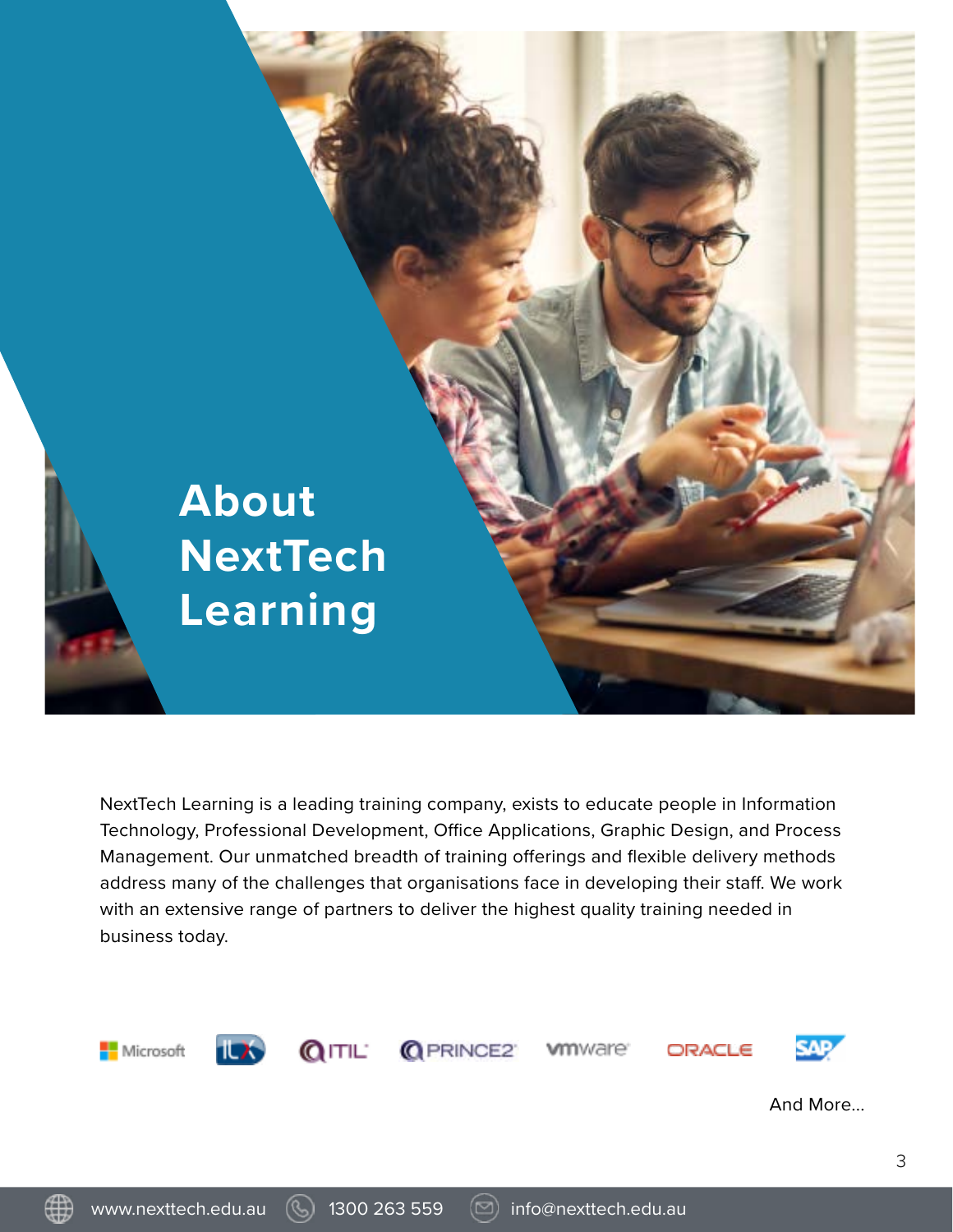

NextTech Learning is a leading training company, exists to educate people in Information Technology, Professional Development, Office Applications, Graphic Design, and Process Management. Our unmatched breadth of training offerings and flexible delivery methods address many of the challenges that organisations face in developing their staff. We work with an extensive range of partners to deliver the highest quality training needed in business today.

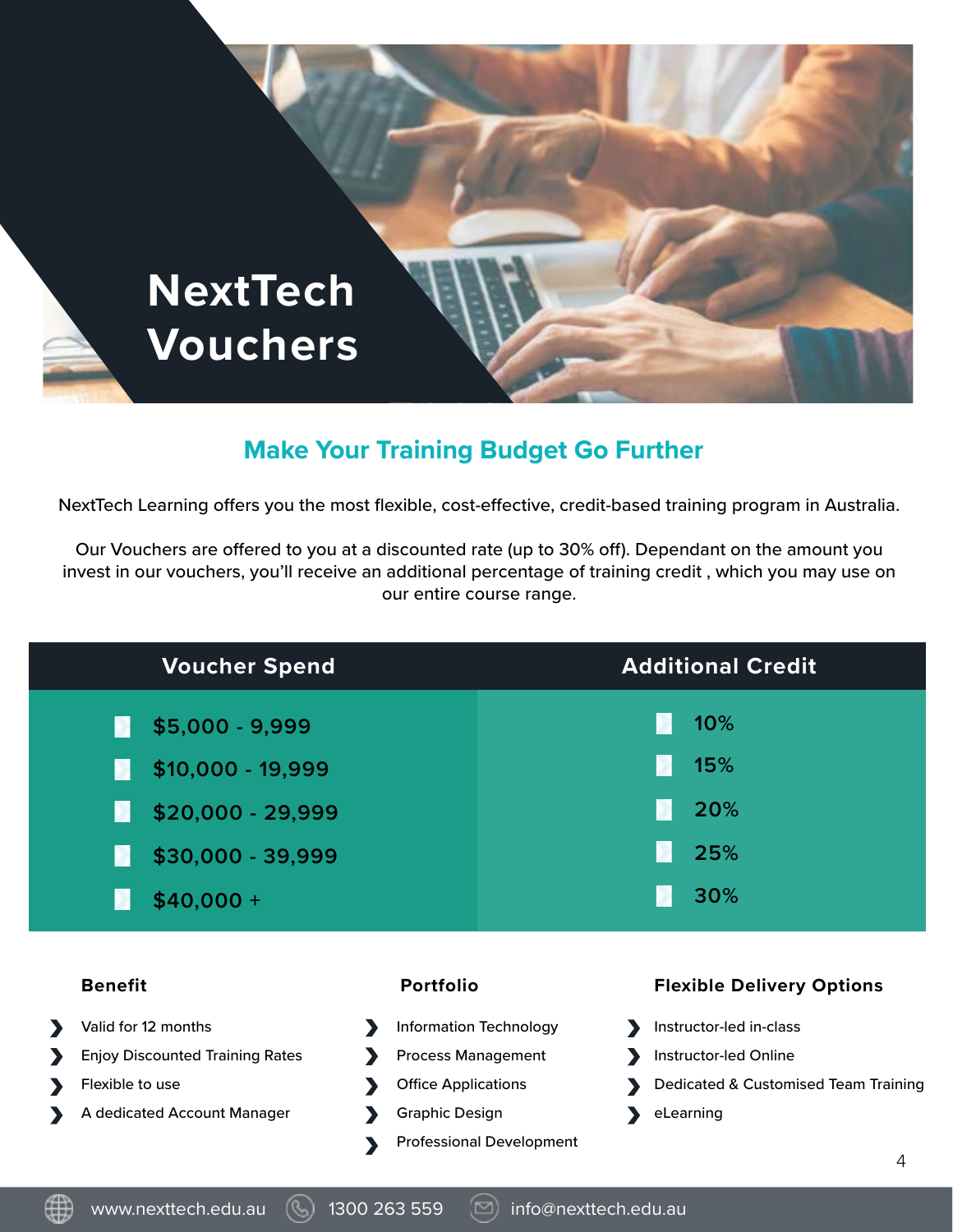

### **Make Your Training Budget Go Further**

NextTech Learning offers you the most flexible, cost-effective, credit-based training program in Australia.

Our Vouchers are offered to you at a discounted rate (up to 30% off). Dependant on the amount you invest in our vouchers, you'll receive an additional percentage of training credit , which you may use on our entire course range.

| <b>Voucher Spend</b>                   |                               |                                 | <b>Additional Credit</b>             |
|----------------------------------------|-------------------------------|---------------------------------|--------------------------------------|
| \$5,000 - 9,999<br>n                   |                               |                                 | 10%                                  |
| $$10,000 - 19,999$<br>D.               |                               |                                 | 15%                                  |
| \$20,000 - 29,999<br>D.                |                               |                                 | 20%                                  |
| \$30,000 - 39,999<br>n                 |                               |                                 | 25%                                  |
| $$40,000 +$<br>D                       |                               |                                 | 30%                                  |
|                                        |                               |                                 |                                      |
| <b>Benefit</b>                         | <b>Portfolio</b>              |                                 | <b>Flexible Delivery Options</b>     |
| Valid for 12 months                    | <b>Information Technology</b> |                                 | Instructor-led in-class              |
| <b>Enjoy Discounted Training Rates</b> | <b>Process Management</b>     |                                 | Instructor-led Online                |
| Flexible to use                        | <b>Office Applications</b>    |                                 | Dedicated & Customised Team Training |
| A dedicated Account Manager            | <b>Graphic Design</b>         |                                 | eLearning                            |
|                                        |                               | <b>Professional Development</b> | 4                                    |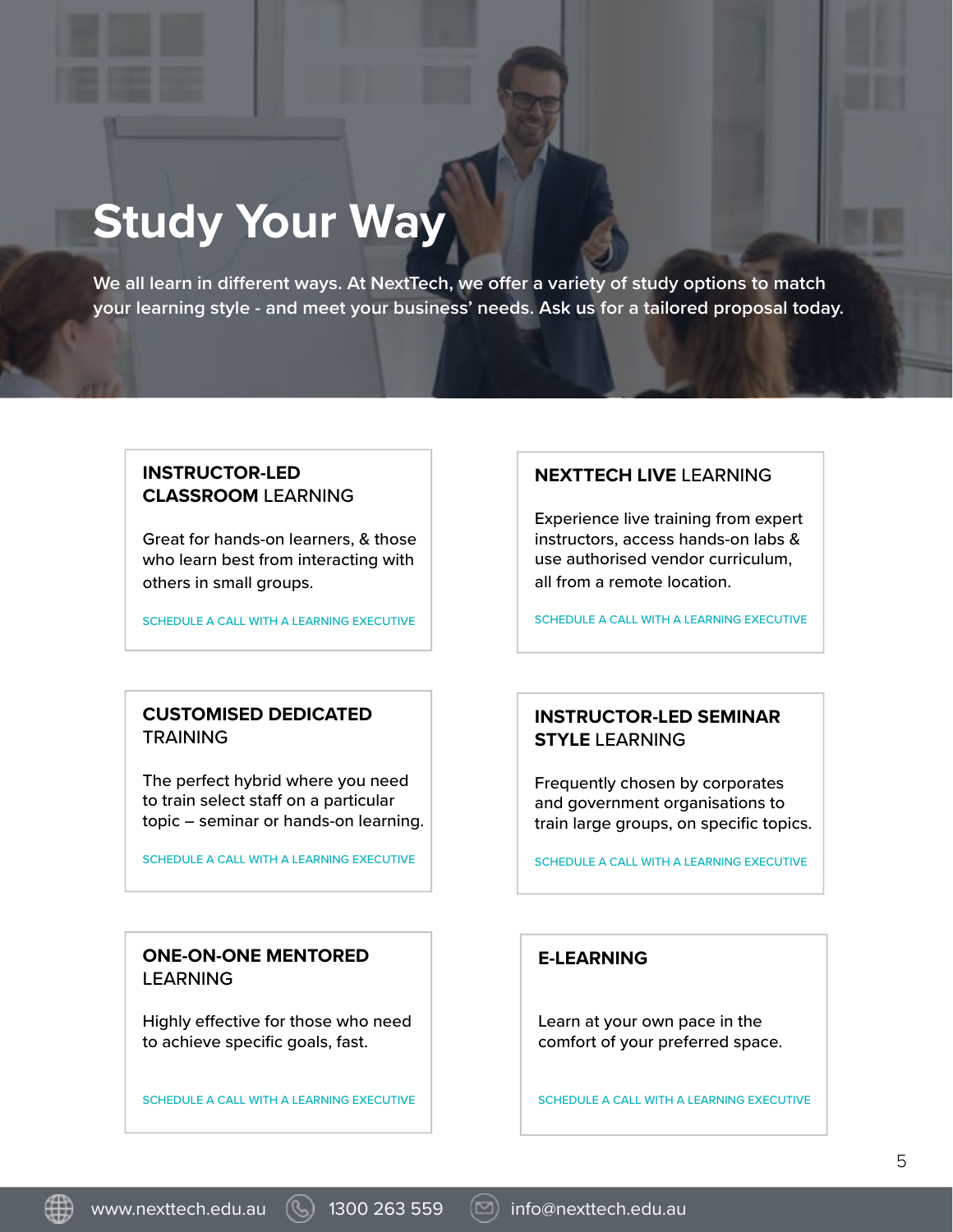# **Study Your Way**

**We all learn in different ways. At NextTech, we offer a variety of study options to match your learning style - and meet your business' needs. Ask us for a tailored proposal today.**

#### **INSTRUCTOR-LED CLASSROOM** LEARNING

Great for hands-on learners, & those who learn best from interacting with others in small groups.

SCHEDULE A CALL WITH A LEARNING EXECUTIVE

#### **CUSTOMISED DEDICATED** TRAINING

The perfect hybrid where you need to train select staff on a particular topic – seminar or hands-on learning.

SCHEDULE A CALL WITH A LEARNING EXECUTIVE

#### **ONE-ON-ONE MENTORED** LEARNING

Highly effective for those who need to achieve specific goals, fast.

SCHEDULE A CALL WITH A LEARNING EXECUTIVE

#### **NEXTTECH LIVE** LEARNING

Experience live training from expert instructors, access hands-on labs & use authorised vendor curriculum, all from a remote location.

SCHEDULE A CALL WITH A LEARNING EXECUTIVE

#### **INSTRUCTOR-LED SEMINAR STYLE** LEARNING

Frequently chosen by corporates and government organisations to train large groups, on specific topics.

SCHEDULE A CALL WITH A LEARNING EXECUTIVE

#### **E-LEARNING**

Learn at your own pace in the comfort of your preferred space.

SCHEDULE A CALL WITH A LEARNING EXECUTIVE

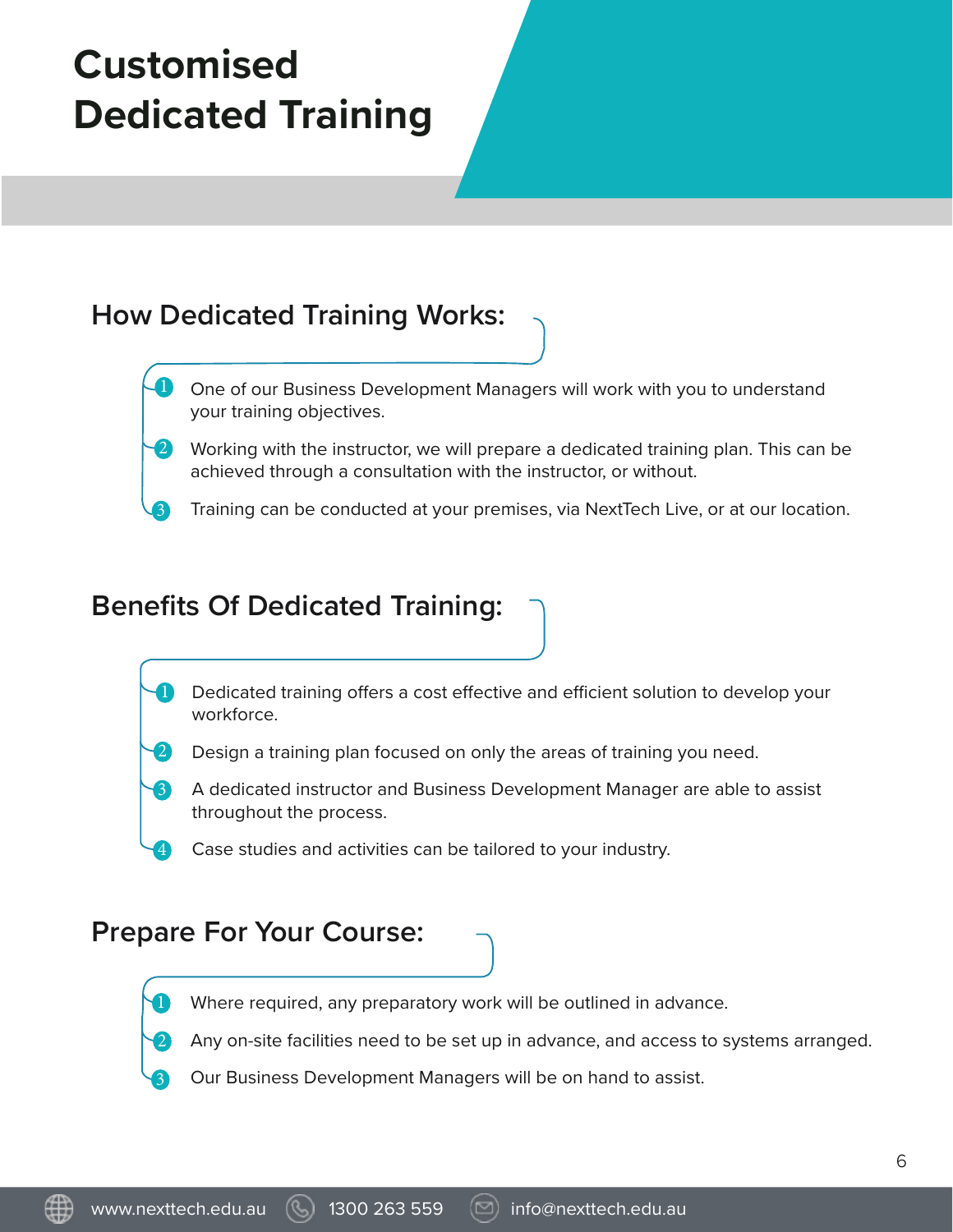# **Customised Dedicated Training**

### **How Dedicated Training Works:**

- One of our Business Development Managers will work with you to understand your training objectives. 1
- Working with the instructor, we will prepare a dedicated training plan. This can be achieved through a consultation with the instructor, or without. 2
- Training can be conducted at your premises, via NextTech Live, or at our location.

### **Benefits Of Dedicated Training:**

- Dedicated training offers a cost effective and efficient solution to develop your workforce. 1
- Design a training plan focused on only the areas of training you need. 2
- A dedicated instructor and Business Development Manager are able to assist throughout the process. 3
	- Case studies and activities can be tailored to your industry.

### **Prepare For Your Course:**

1

3

4

3

Where required, any preparatory work will be outlined in advance.

Any on-site facilities need to be set up in advance, and access to systems arranged. 2

Our Business Development Managers will be on hand to assist.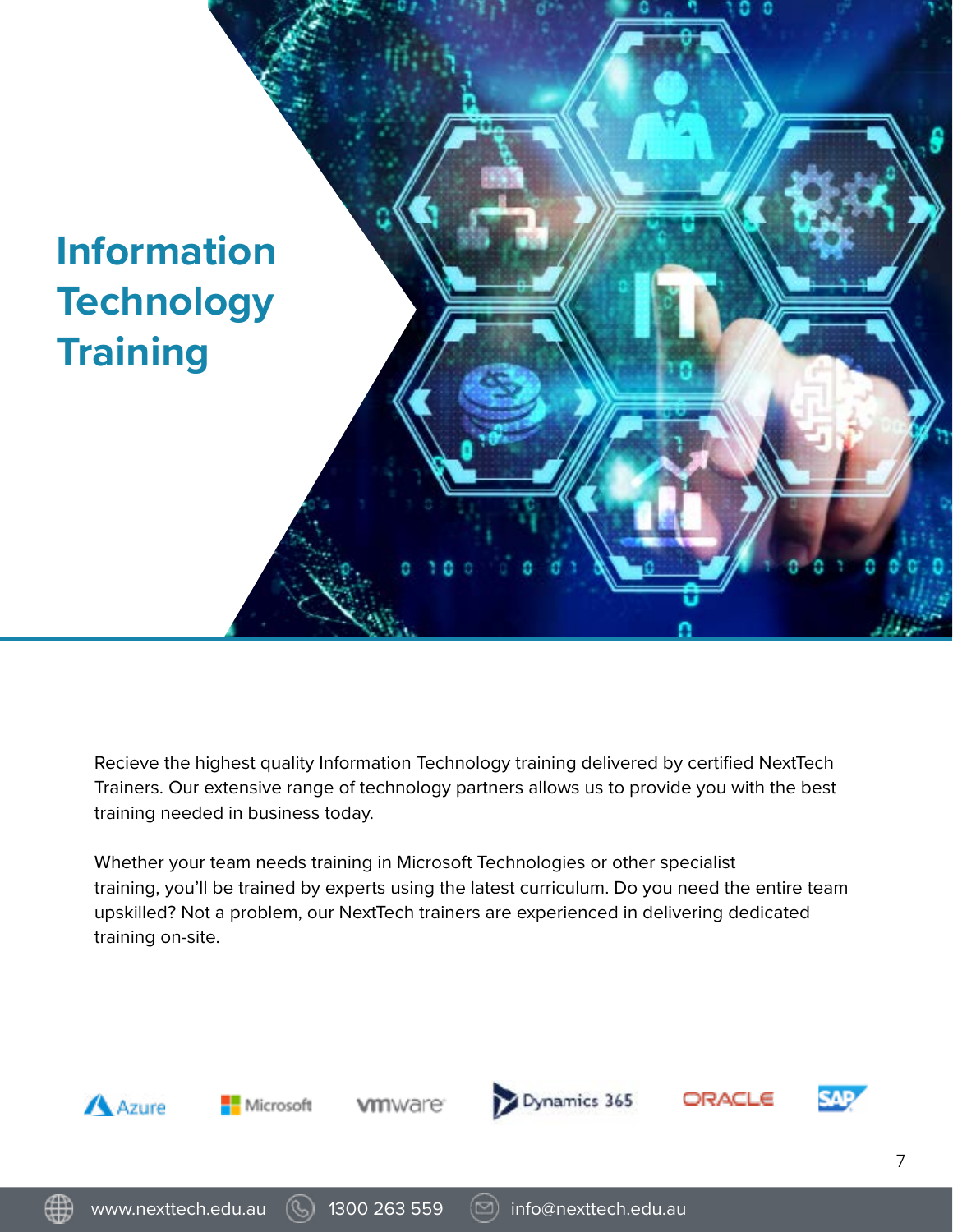

Recieve the highest quality Information Technology training delivered by certified NextTech Trainers. Our extensive range of technology partners allows us to provide you with the best training needed in business today.

Whether your team needs training in Microsoft Technologies or other specialist training, you'll be trained by experts using the latest curriculum. Do you need the entire team upskilled? Not a problem, our NextTech trainers are experienced in delivering dedicated training on-site.



www.nexttech.edu.au (9) 1300 263 559 (2) info@nexttech.edu.au

7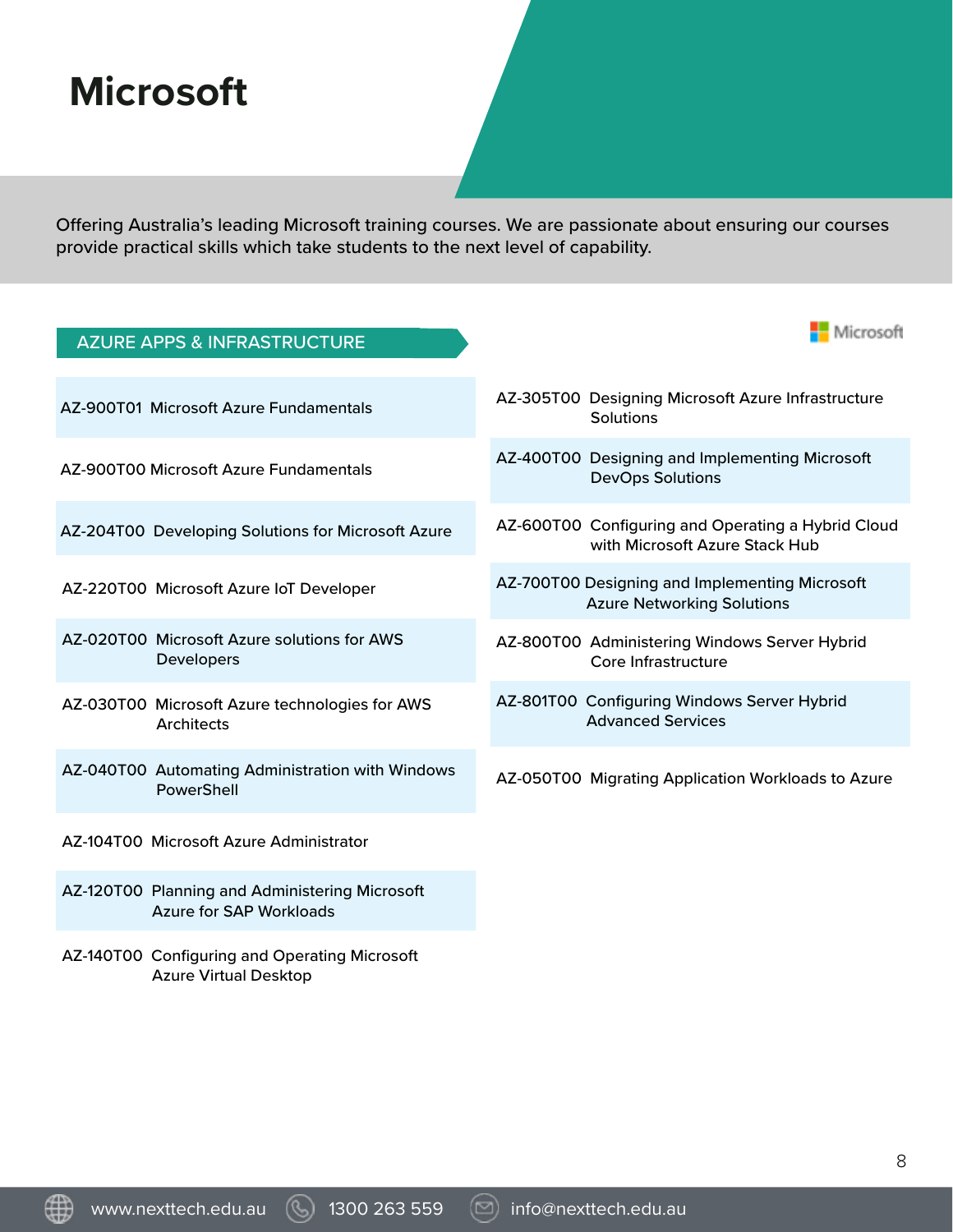### **Microsoft**

Offering Australia's leading Microsoft training courses. We are passionate about ensuring our courses provide practical skills which take students to the next level of capability.

| <b>AZURE APPS &amp; INFRASTRUCTURE</b>                                           | Microsoft                                                                            |
|----------------------------------------------------------------------------------|--------------------------------------------------------------------------------------|
| AZ-900T01 Microsoft Azure Fundamentals                                           | AZ-305T00 Designing Microsoft Azure Infrastructure<br>Solutions                      |
| AZ-900T00 Microsoft Azure Fundamentals                                           | AZ-400T00 Designing and Implementing Microsoft<br><b>DevOps Solutions</b>            |
| AZ-204T00 Developing Solutions for Microsoft Azure                               | AZ-600T00 Configuring and Operating a Hybrid Cloud<br>with Microsoft Azure Stack Hub |
| AZ-220T00 Microsoft Azure IoT Developer                                          | AZ-700T00 Designing and Implementing Microsoft<br><b>Azure Networking Solutions</b>  |
| AZ-020T00 Microsoft Azure solutions for AWS<br>Developers                        | AZ-800T00 Administering Windows Server Hybrid<br>Core Infrastructure                 |
| AZ-030T00 Microsoft Azure technologies for AWS<br><b>Architects</b>              | AZ-801T00 Configuring Windows Server Hybrid<br><b>Advanced Services</b>              |
| AZ-040T00 Automating Administration with Windows<br>PowerShell                   | AZ-050T00 Migrating Application Workloads to Azure                                   |
| AZ-104T00 Microsoft Azure Administrator                                          |                                                                                      |
| AZ-120T00 Planning and Administering Microsoft<br><b>Azure for SAP Workloads</b> |                                                                                      |
| AZ-140T00 Configuring and Operating Microsoft                                    |                                                                                      |

AZ-140T00 Configuring and Operating Microsoft Azure Virtual Desktop

www.nexttech.edu.au (S) 1300 263 559 (D) info@nexttech.edu.au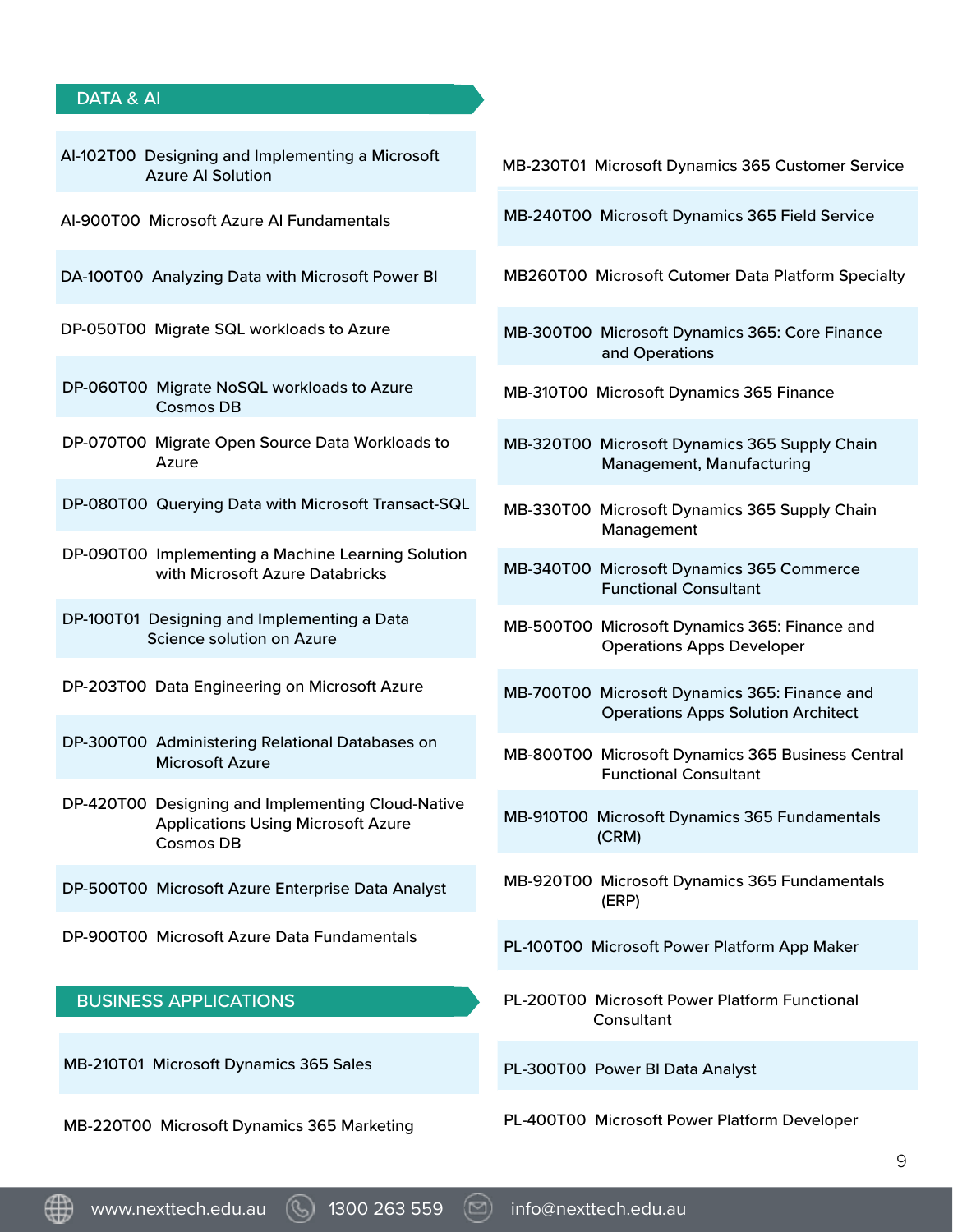#### DATA & AI

| Al-102T00 Designing and Implementing a Microsoft<br><b>Azure AI Solution</b>                                |
|-------------------------------------------------------------------------------------------------------------|
| Al-900T00 Microsoft Azure Al Fundamentals                                                                   |
| DA-100T00 Analyzing Data with Microsoft Power BI                                                            |
| DP-050T00 Migrate SQL workloads to Azure                                                                    |
| DP-060T00 Migrate NoSQL workloads to Azure<br><b>Cosmos DB</b>                                              |
| DP-070T00 Migrate Open Source Data Workloads to<br>Azure                                                    |
| DP-080T00 Querying Data with Microsoft Transact-SQL                                                         |
| DP-090T00 Implementing a Machine Learning Solution<br>with Microsoft Azure Databricks                       |
| DP-100T01 Designing and Implementing a Data<br>Science solution on Azure                                    |
| DP-203T00 Data Engineering on Microsoft Azure                                                               |
| DP-300T00 Administering Relational Databases on<br><b>Microsoft Azure</b>                                   |
| DP-420T00 Designing and Implementing Cloud-Native<br><b>Applications Using Microsoft Azure</b><br>Cosmos DB |
| DP-500T00 Microsoft Azure Enterprise Data Analyst                                                           |
| DP-900T00 Microsoft Azure Data Fundamentals                                                                 |
| <b>BUSINESS APPLICATIONS</b>                                                                                |
| MB-210T01 Microsoft Dynamics 365 Sales                                                                      |

MB-220T00 Microsoft Dynamics 365 Marketing

MB-230T01 Microsoft Dynamics 365 Customer Service

MB-240T00 Microsoft Dynamics 365 Field Service

MB260T00 Microsoft Cutomer Data Platform Specialty

- MB-300T00 Microsoft Dynamics 365: Core Finance and Operations
- MB-310T00 Microsoft Dynamics 365 Finance
- MB-320T00 Microsoft Dynamics 365 Supply Chain Management, Manufacturing
- MB-330T00 Microsoft Dynamics 365 Supply Chain Management
- MB-340T00 Microsoft Dynamics 365 Commerce Functional Consultant
- MB-500T00 Microsoft Dynamics 365: Finance and Operations Apps Developer
- MB-700T00 Microsoft Dynamics 365: Finance and Operations Apps Solution Architect
- MB-800T00 Microsoft Dynamics 365 Business Central Functional Consultant
- MB-910T00 Microsoft Dynamics 365 Fundamentals (CRM)
- MB-920T00 Microsoft Dynamics 365 Fundamentals (ERP)
- PL-100T00 Microsoft Power Platform App Maker
- PL-200T00 Microsoft Power Platform Functional **Consultant**

PL-300T00 Power BI Data Analyst

PL-400T00 Microsoft Power Platform Developer

www.nexttech.edu.au (4) 1300 263 559 (12) info@nexttech.edu.au

9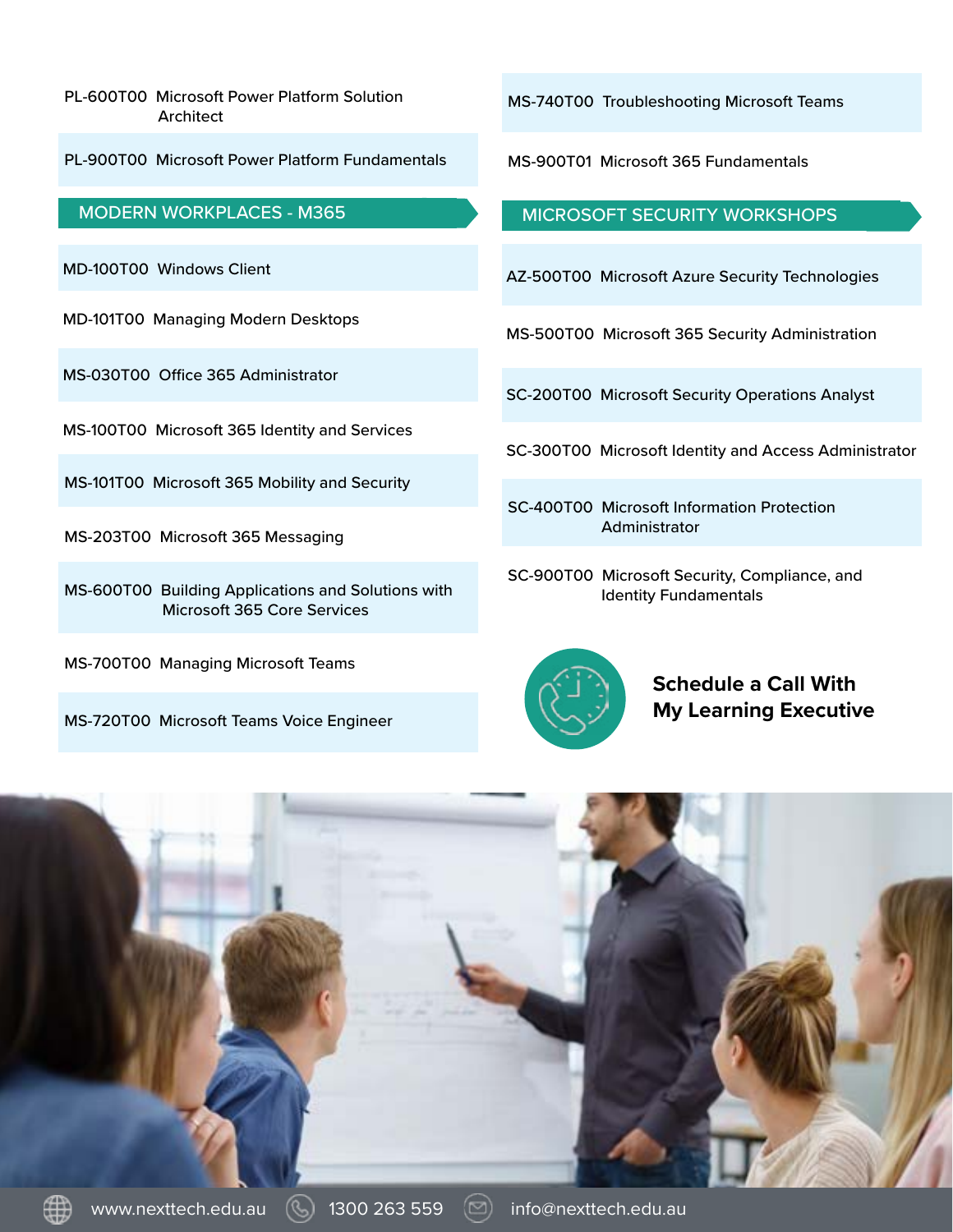PL-600T00 Microsoft Power Platform Solution Architect

PL-900T00 Microsoft Power Platform Fundamentals

#### MODERN WORKPLACES - M365

MD-100T00 Windows Client

MD-101T00 Managing Modern Desktops

MS-030T00 Office 365 Administrator

MS-100T00 Microsoft 365 Identity and Services

MS-101T00 Microsoft 365 Mobility and Security

MS-203T00 Microsoft 365 Messaging

MS-600T00 Building Applications and Solutions with Microsoft 365 Core Services

MS-700T00 Managing Microsoft Teams

MS-720T00 Microsoft Teams Voice Engineer

MS-740T00 Troubleshooting Microsoft Teams

MS-900T01 Microsoft 365 Fundamentals

MICROSOFT SECURITY WORKSHOPS

AZ-500T00 Microsoft Azure Security Technologies

MS-500T00 Microsoft 365 Security Administration

SC-200T00 Microsoft Security Operations Analyst

SC-300T00 Microsoft Identity and Access Administrator

SC-400T00 Microsoft Information Protection Administrator

SC-900T00 Microsoft Security, Compliance, and Identity Fundamentals



**Schedule a Call With My Learning Executive**



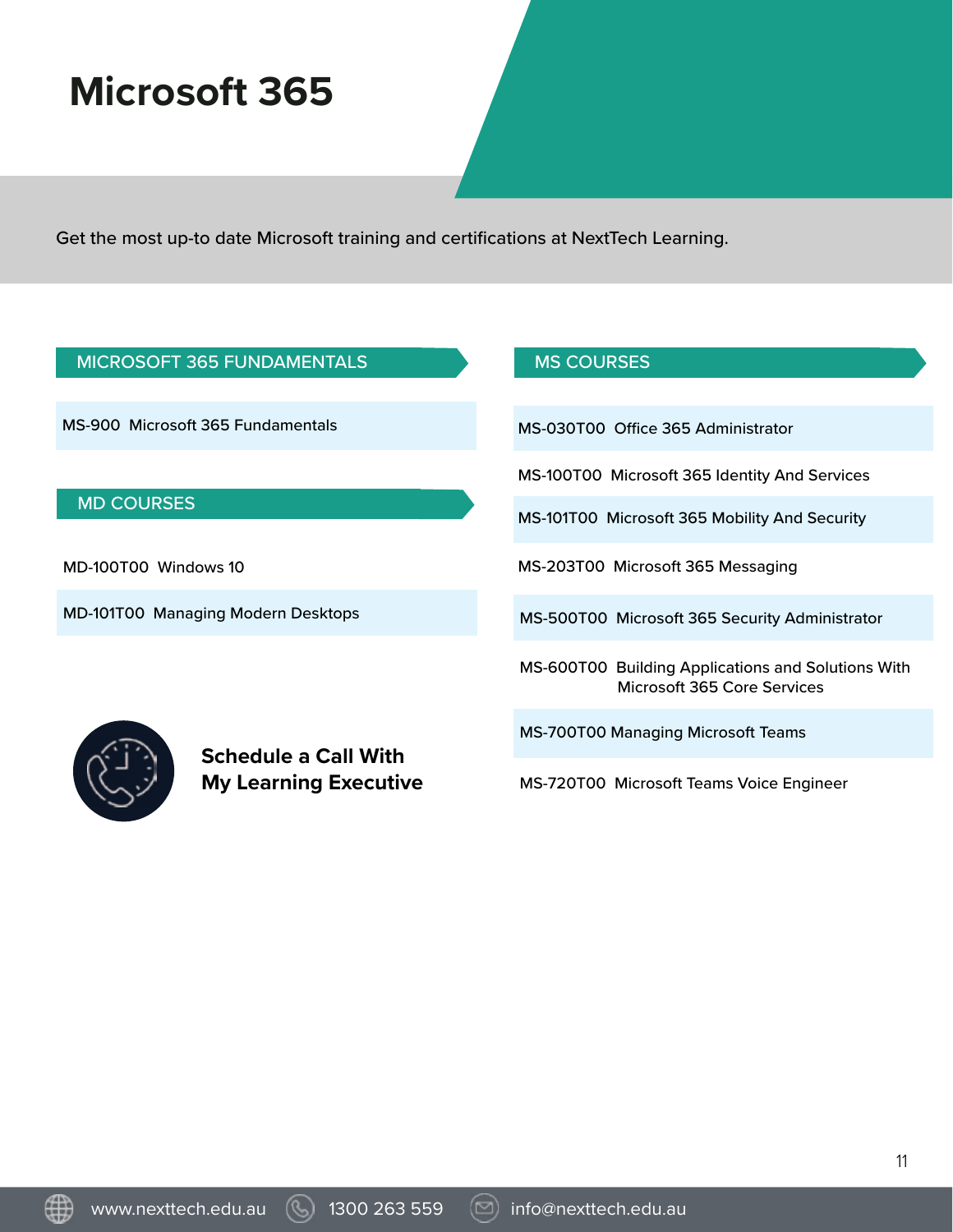## **Microsoft 365**

Get the most up-to date Microsoft training and certifications at NextTech Learning.

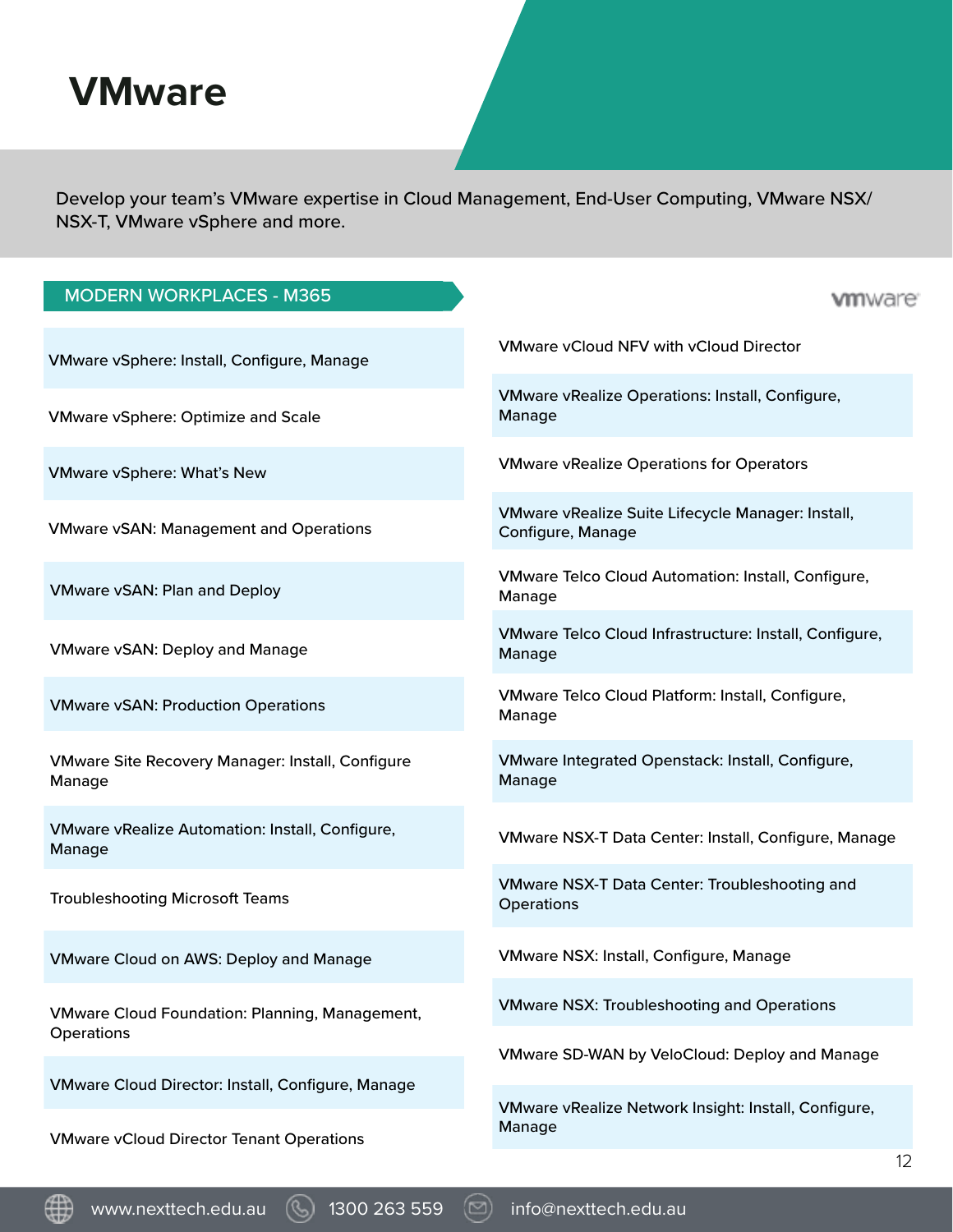### **VMware**

Develop your team's VMware expertise in Cloud Management, End-User Computing, VMware NSX/ NSX-T, VMware vSphere and more.

| <b>MODERN WORKPLACES - M365</b>                                   | <b>vm</b> ware                                                         |
|-------------------------------------------------------------------|------------------------------------------------------------------------|
| VMware vSphere: Install, Configure, Manage                        | <b>VMware vCloud NFV with vCloud Director</b>                          |
| <b>VMware vSphere: Optimize and Scale</b>                         | <b>VMware vRealize Operations: Install, Configure,</b><br>Manage       |
| <b>VMware vSphere: What's New</b>                                 | <b>VMware vRealize Operations for Operators</b>                        |
| <b>VMware vSAN: Management and Operations</b>                     | VMware vRealize Suite Lifecycle Manager: Install,<br>Configure, Manage |
| <b>VMware vSAN: Plan and Deploy</b>                               | VMware Telco Cloud Automation: Install, Configure,<br>Manage           |
| <b>VMware vSAN: Deploy and Manage</b>                             | VMware Telco Cloud Infrastructure: Install, Configure,<br>Manage       |
| <b>VMware vSAN: Production Operations</b>                         | VMware Telco Cloud Platform: Install, Configure,<br>Manage             |
| <b>VMware Site Recovery Manager: Install, Configure</b><br>Manage | VMware Integrated Openstack: Install, Configure,<br>Manage             |
| <b>VMware vRealize Automation: Install, Configure,</b><br>Manage  | VMware NSX-T Data Center: Install, Configure, Manage                   |
| <b>Troubleshooting Microsoft Teams</b>                            | <b>VMware NSX-T Data Center: Troubleshooting and</b><br>Operations     |
| <b>VMware Cloud on AWS: Deploy and Manage</b>                     | <b>VMware NSX: Install, Configure, Manage</b>                          |
| <b>VMware Cloud Foundation: Planning, Management,</b>             | <b>VMware NSX: Troubleshooting and Operations</b>                      |
| Operations                                                        | VMware SD-WAN by VeloCloud: Deploy and Manage                          |
| VMware Cloud Director: Install, Configure, Manage                 | VMware vRealize Network Insight: Install, Configure,                   |
| <b>VMware vCloud Director Tenant Operations</b>                   | Manage                                                                 |

www.nexttech.edu.au  $\circledS$  1300 263 559  $\circledS$  info@nexttech.edu.au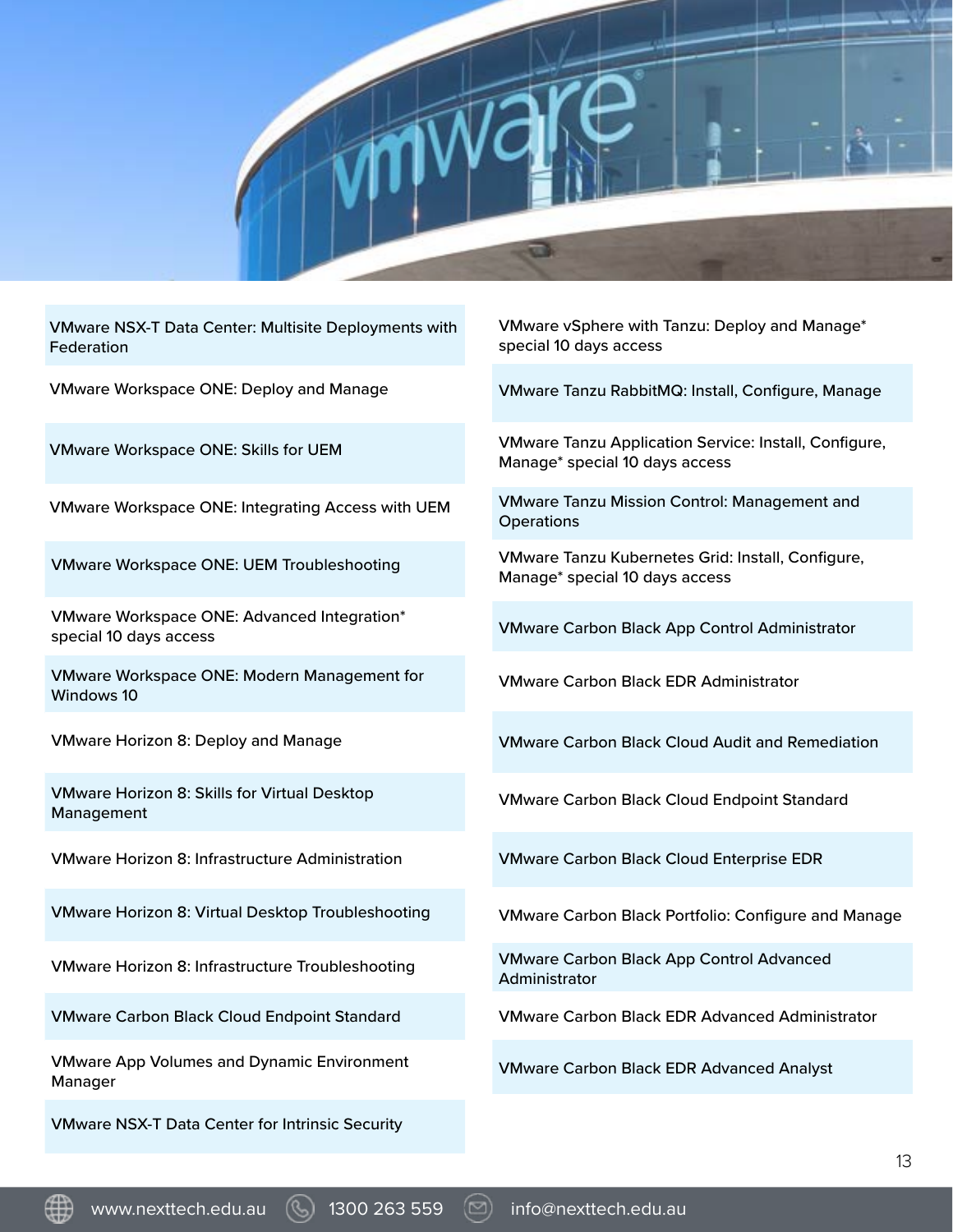

VMware NSX-T Data Center: Multisite Deployments with Federation

VMware Workspace ONE: Deploy and Manage

VMware Workspace ONE: Skills for UEM

VMware Workspace ONE: Integrating Access with UEM

VMware Workspace ONE: UEM Troubleshooting

VMware Workspace ONE: Advanced Integration\* special 10 days access

VMware Workspace ONE: Modern Management for Windows 10

VMware Horizon 8: Deploy and Manage

VMware Horizon 8: Skills for Virtual Desktop Management

VMware Horizon 8: Infrastructure Administration

VMware Horizon 8: Virtual Desktop Troubleshooting

VMware Horizon 8: Infrastructure Troubleshooting

VMware Carbon Black Cloud Endpoint Standard

VMware App Volumes and Dynamic Environment Manager

VMware NSX-T Data Center for Intrinsic Security

VMware vSphere with Tanzu: Deploy and Manage\* special 10 days access

VMware Tanzu RabbitMQ: Install, Configure, Manage

VMware Tanzu Application Service: Install, Configure, Manage\* special 10 days access

VMware Tanzu Mission Control: Management and **Operations** 

VMware Tanzu Kubernetes Grid: Install, Configure, Manage\* special 10 days access

VMware Carbon Black App Control Administrator

VMware Carbon Black EDR Administrator

VMware Carbon Black Cloud Audit and Remediation

VMware Carbon Black Cloud Endpoint Standard

VMware Carbon Black Cloud Enterprise EDR

VMware Carbon Black Portfolio: Configure and Manage

VMware Carbon Black App Control Advanced Administrator

VMware Carbon Black EDR Advanced Administrator

VMware Carbon Black EDR Advanced Analyst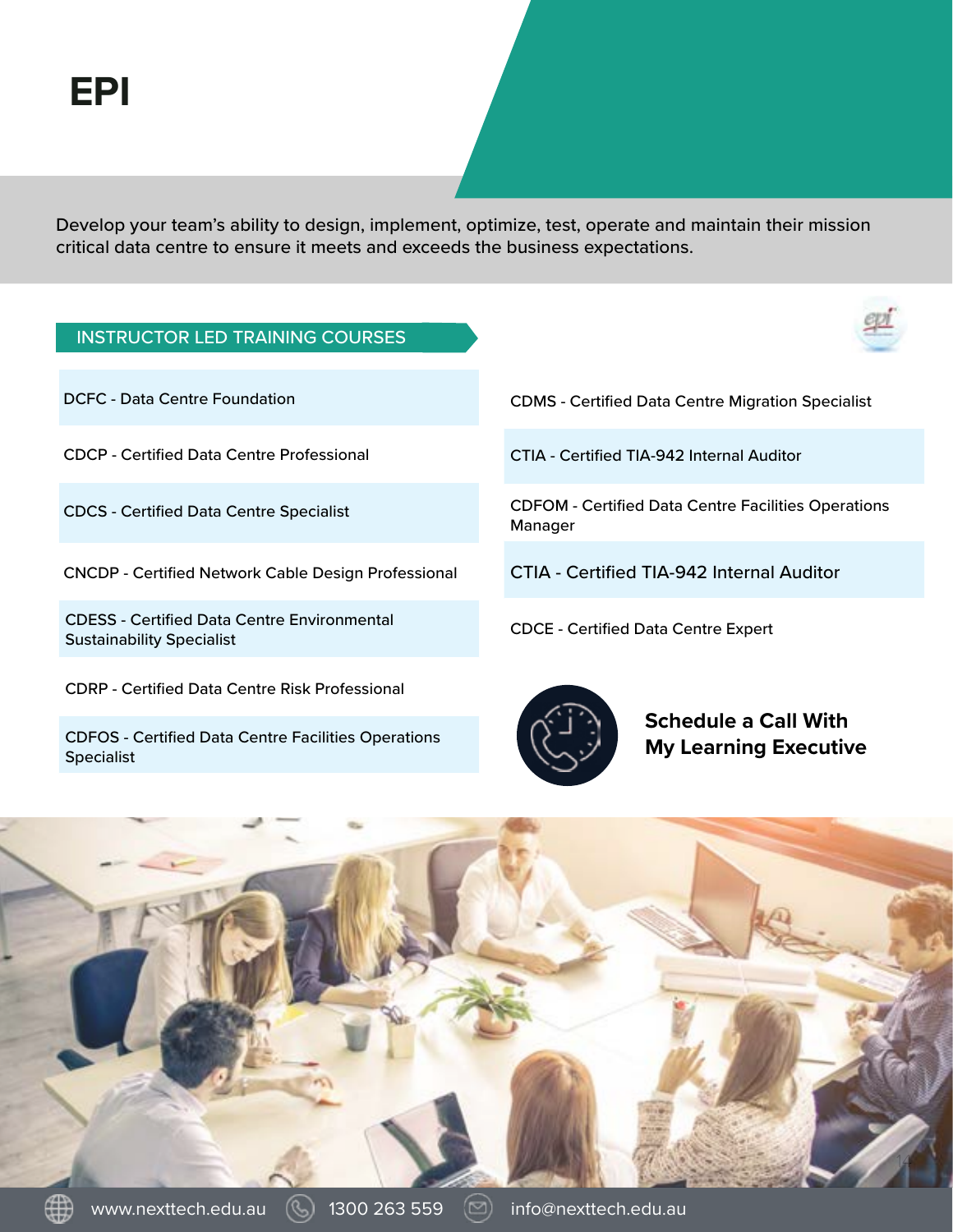Develop your team's ability to design, implement, optimize, test, operate and maintain their mission critical data centre to ensure it meets and exceeds the business expectations.



CDFOS - Certified Data Centre Facilities Operations Specialist

**Schedule a Call With My Learning Executive**

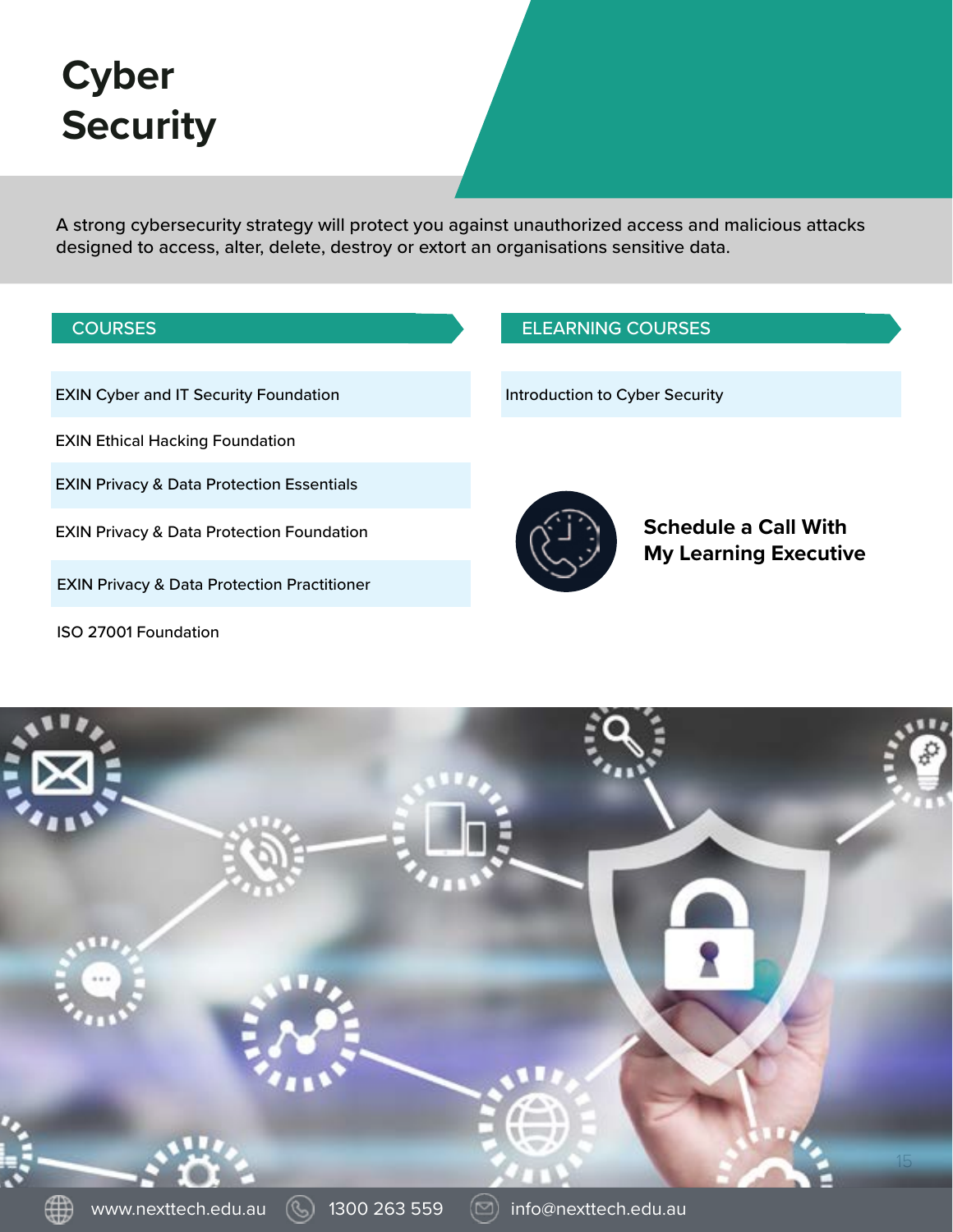# **Cyber Security**

A strong cybersecurity strategy will protect you against unauthorized access and malicious attacks designed to access, alter, delete, destroy or extort an organisations sensitive data.

| <b>COURSES</b>                                         | <b>ELEARNING COURSES</b>                                    |
|--------------------------------------------------------|-------------------------------------------------------------|
| <b>EXIN Cyber and IT Security Foundation</b>           | Introduction to Cyber Security                              |
| <b>EXIN Ethical Hacking Foundation</b>                 |                                                             |
| <b>EXIN Privacy &amp; Data Protection Essentials</b>   |                                                             |
| <b>EXIN Privacy &amp; Data Protection Foundation</b>   | <b>Schedule a Call With</b><br><b>My Learning Executive</b> |
| <b>EXIN Privacy &amp; Data Protection Practitioner</b> |                                                             |
| ISO 27001 Foundation                                   |                                                             |

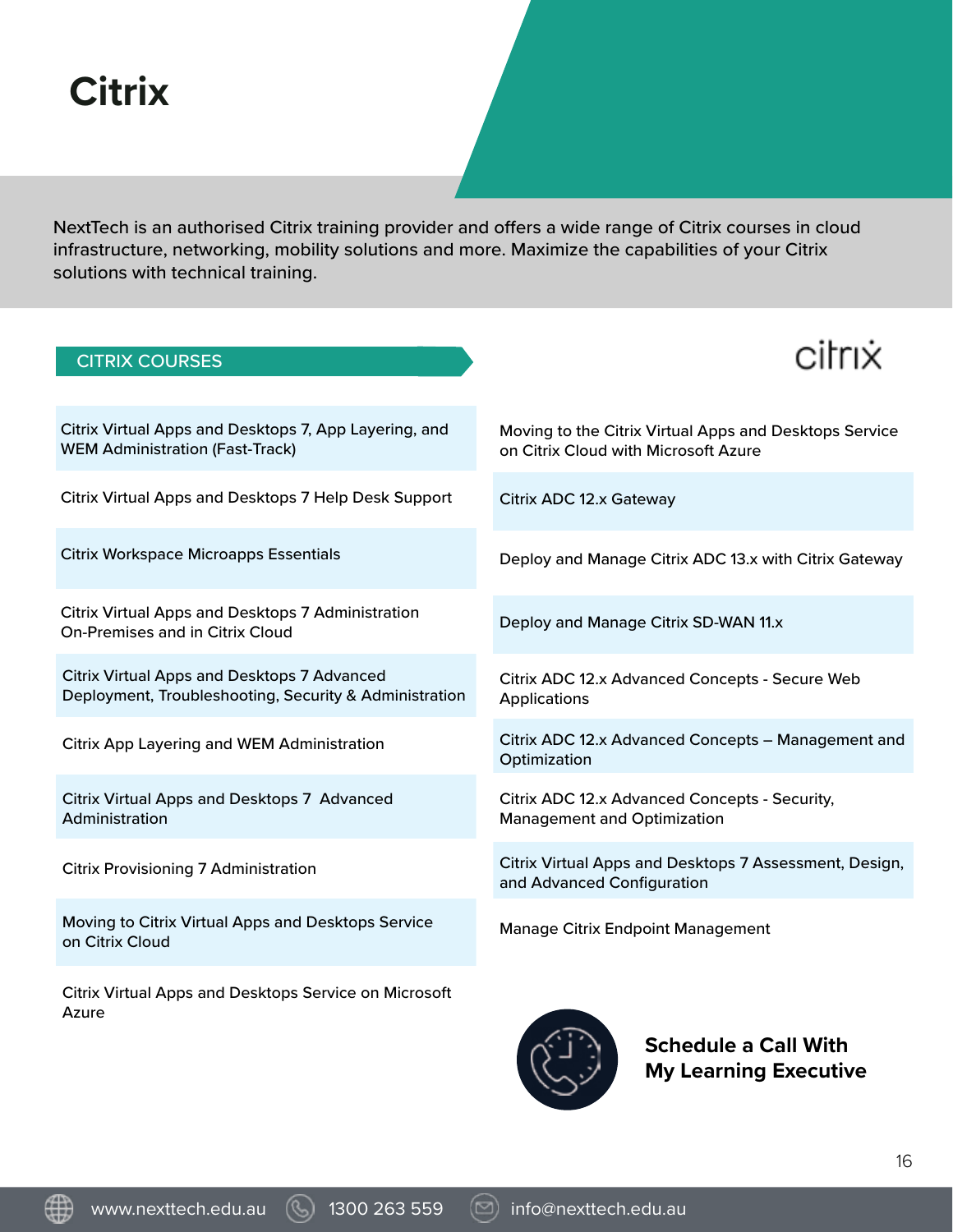# **Citrix**

NextTech is an authorised Citrix training provider and offers a wide range of Citrix courses in cloud infrastructure, networking, mobility solutions and more. Maximize the capabilities of your Citrix solutions with technical training.

| <b>CITRIX COURSES</b>                                                                                 |                                                                                      |
|-------------------------------------------------------------------------------------------------------|--------------------------------------------------------------------------------------|
| Citrix Virtual Apps and Desktops 7, App Layering, and                                                 | Moving to the Citrix Virtual Apps and Desktops Service                               |
| <b>WEM Administration (Fast-Track)</b>                                                                | on Citrix Cloud with Microsoft Azure                                                 |
| Citrix Virtual Apps and Desktops 7 Help Desk Support                                                  | Citrix ADC 12.x Gateway                                                              |
| <b>Citrix Workspace Microapps Essentials</b>                                                          | Deploy and Manage Citrix ADC 13.x with Citrix Gateway                                |
| Citrix Virtual Apps and Desktops 7 Administration<br><b>On-Premises and in Citrix Cloud</b>           | Deploy and Manage Citrix SD-WAN 11.x                                                 |
| Citrix Virtual Apps and Desktops 7 Advanced<br>Deployment, Troubleshooting, Security & Administration | Citrix ADC 12.x Advanced Concepts - Secure Web<br><b>Applications</b>                |
| Citrix App Layering and WEM Administration                                                            | Citrix ADC 12.x Advanced Concepts - Management and<br>Optimization                   |
| Citrix Virtual Apps and Desktops 7 Advanced<br>Administration                                         | Citrix ADC 12.x Advanced Concepts - Security,<br><b>Management and Optimization</b>  |
| <b>Citrix Provisioning 7 Administration</b>                                                           | Citrix Virtual Apps and Desktops 7 Assessment, Design,<br>and Advanced Configuration |
| Moving to Citrix Virtual Apps and Desktops Service<br>on Citrix Cloud                                 | Manage Citrix Endpoint Management                                                    |
| Citrix Virtual Apps and Desktops Service on Microsoft<br>Azure                                        | <b>Schedule a Call With</b>                                                          |

www.nexttech.edu.au  $\qquad \qquad \qquad$  1300 263 559  $\qquad \qquad \qquad$  info@nexttech.edu.au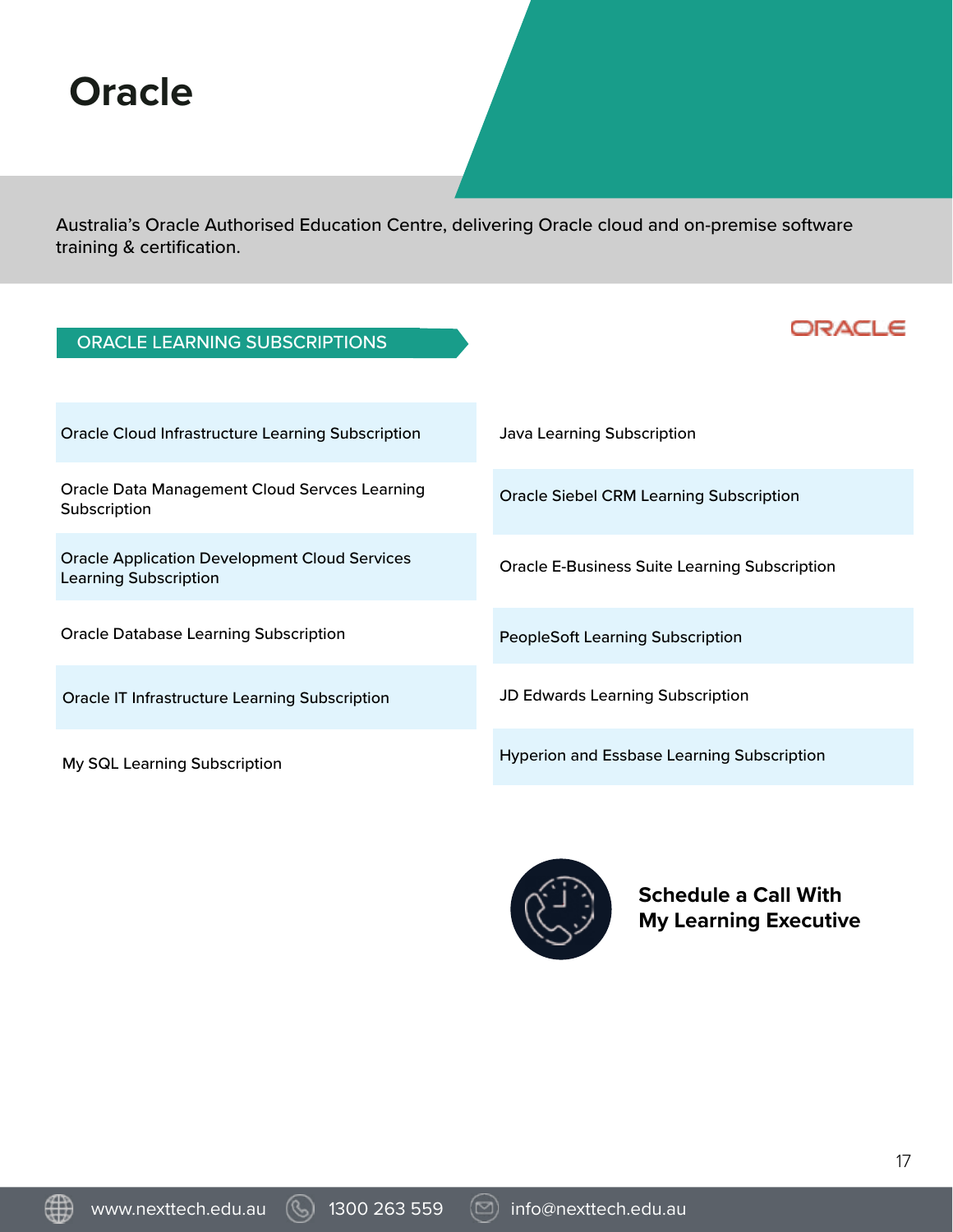# **Oracle**

Australia's Oracle Authorised Education Centre, delivering Oracle cloud and on-premise software training & certification.

| <b>ORACLE LEARNING SUBSCRIPTIONS</b>                                                 |                                                      |
|--------------------------------------------------------------------------------------|------------------------------------------------------|
|                                                                                      |                                                      |
| <b>Oracle Cloud Infrastructure Learning Subscription</b>                             | <b>Java Learning Subscription</b>                    |
| <b>Oracle Data Management Cloud Servces Learning</b><br>Subscription                 | <b>Oracle Siebel CRM Learning Subscription</b>       |
| <b>Oracle Application Development Cloud Services</b><br><b>Learning Subscription</b> | <b>Oracle E-Business Suite Learning Subscription</b> |
| <b>Oracle Database Learning Subscription</b>                                         | <b>PeopleSoft Learning Subscription</b>              |
| <b>Oracle IT Infrastructure Learning Subscription</b>                                | <b>JD Edwards Learning Subscription</b>              |
| My SQL Learning Subscription                                                         | <b>Hyperion and Essbase Learning Subscription</b>    |



**Schedule a Call With My Learning Executive**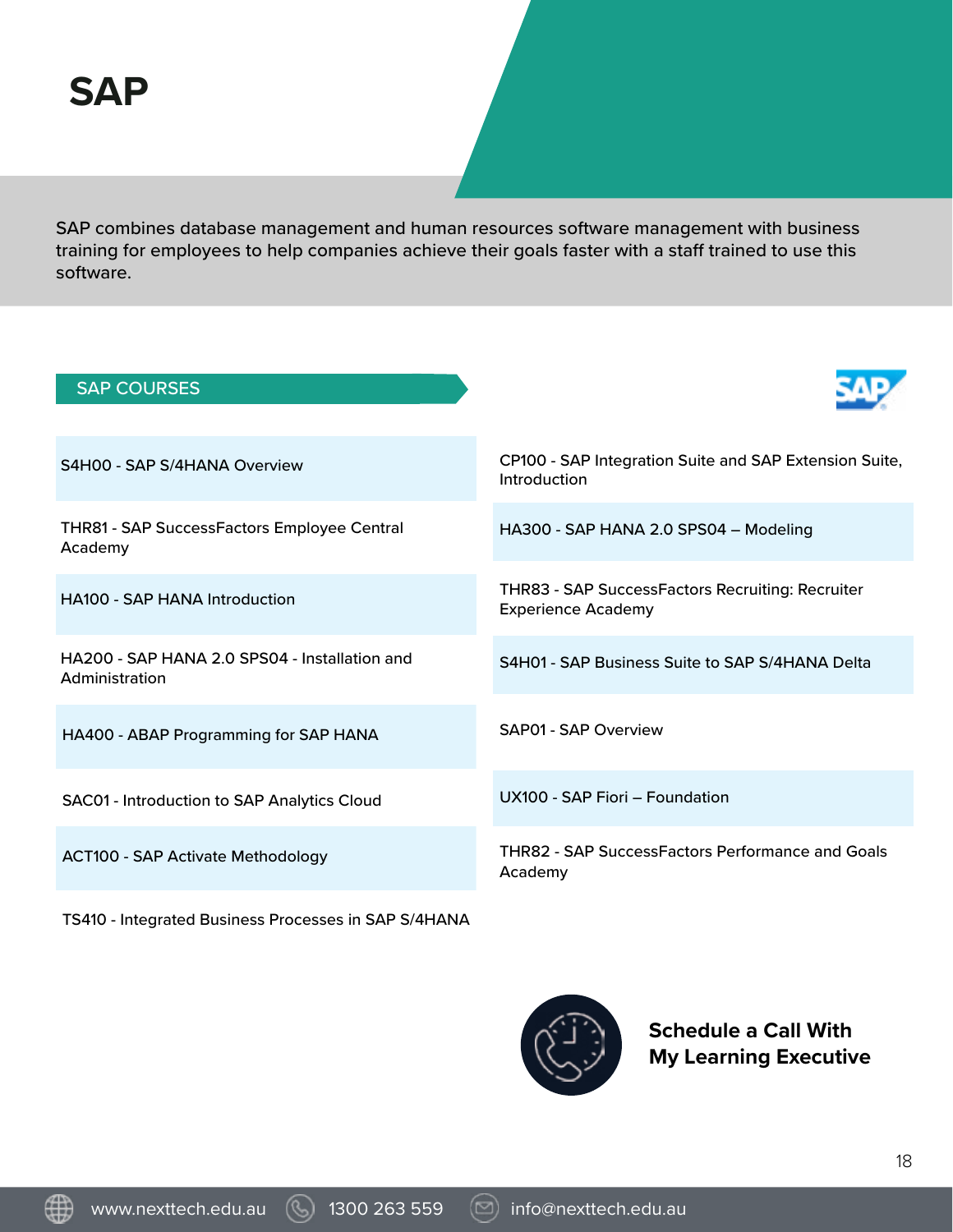SAP combines database management and human resources software management with business training for employees to help companies achieve their goals faster with a staff trained to use this software.



TS410 - Integrated Business Processes in SAP S/4HANA



**Schedule a Call With My Learning Executive**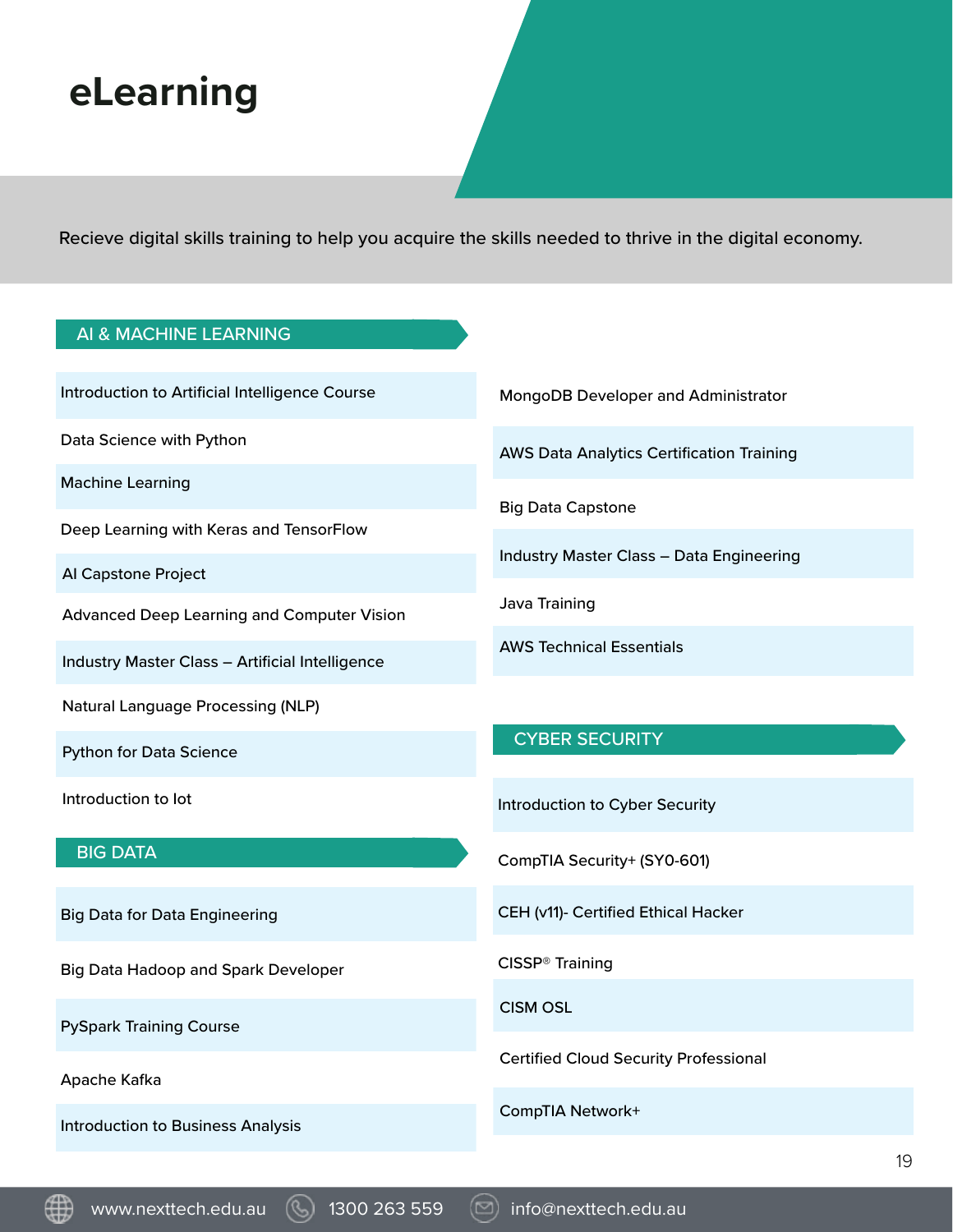### **eLearning**

Recieve digital skills training to help you acquire the skills needed to thrive in the digital economy.

#### AI & MACHINE LEARNING

Introduction to Artificial Intelligence Course

Data Science with Python

Machine Learning

Deep Learning with Keras and TensorFlow

AI Capstone Project

Advanced Deep Learning and Computer Vision

Industry Master Class – Artificial Intelligence

Natural Language Processing (NLP)

Python for Data Science

Introduction to Iot

#### BIG DATA

Big Data for Data Engineering

Big Data Hadoop and Spark Developer

PySpark Training Course

Apache Kafka

Introduction to Business Analysis

MongoDB Developer and Administrator

AWS Data Analytics Certification Training

Big Data Capstone

Industry Master Class – Data Engineering

Java Training

AWS Technical Essentials

#### CYBER SECURITY

Introduction to Cyber Security

CompTIA Security+ (SY0-601)

CEH (v11)- Certified Ethical Hacker

CISSP® Training

CISM OSL

Certified Cloud Security Professional

CompTIA Network+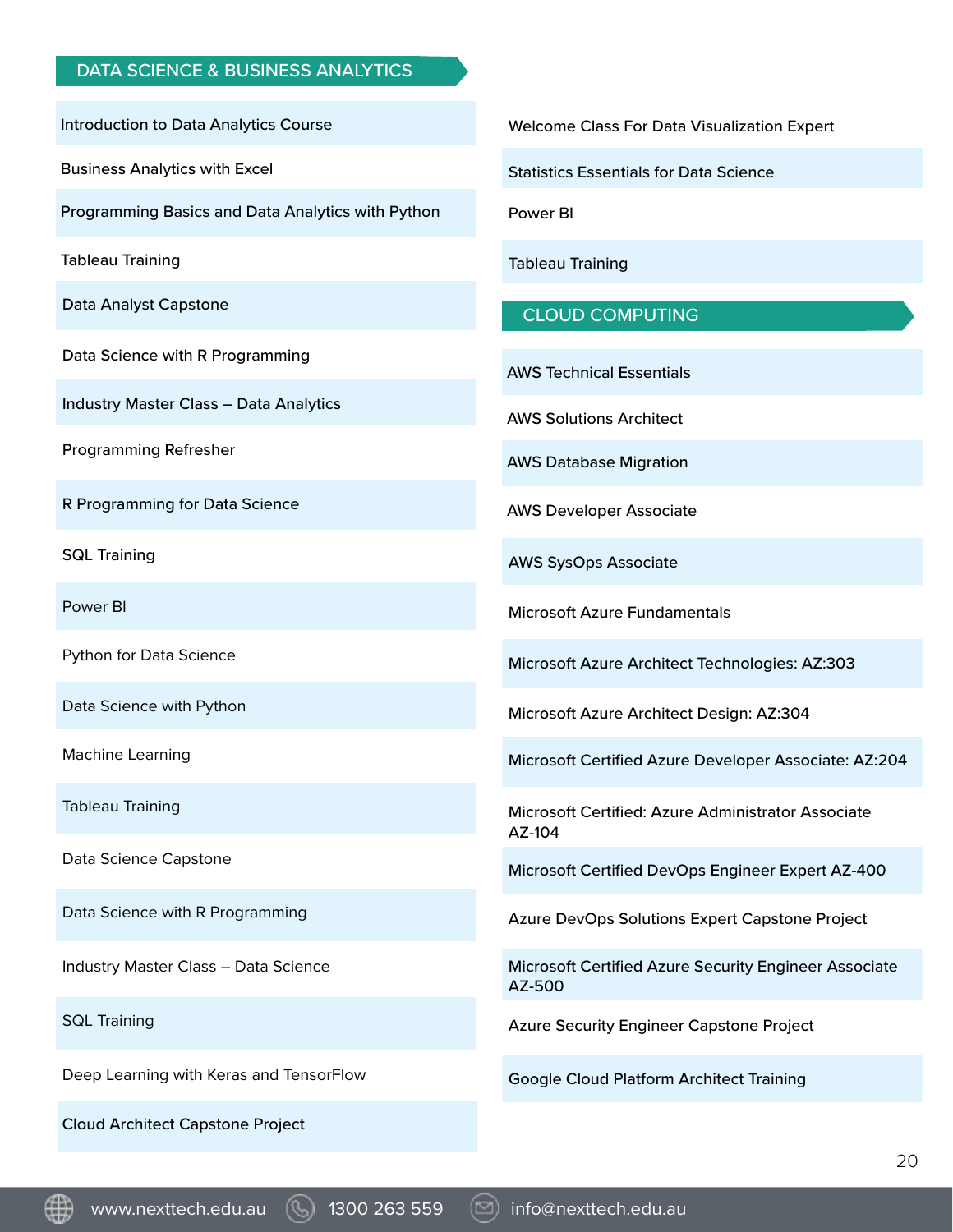#### DATA SCIENCE & BUSINESS ANALYTICS

Introduction to Data Analytics Course

Business Analytics with Excel

Programming Basics and Data Analytics with Python

Tableau Training

Data Analyst Capstone

Data Science with R Programming

Industry Master Class – Data Analytics

Programming Refresher

R Programming for Data Science

SQL Training

Power BI

Python for Data Science

Data Science with Python

Machine Learning

Tableau Training

Data Science Capstone

Data Science with R Programming

Industry Master Class – Data Science

SQL Training

Deep Learning with Keras and TensorFlow

Cloud Architect Capstone Project

Welcome Class For Data Visualization Expert

Statistics Essentials for Data Science

Power BI

Tableau Training

#### CLOUD COMPUTING

AWS Technical Essentials

AWS Solutions Architect

AWS Database Migration

AWS Developer Associate

AWS SysOps Associate

Microsoft Azure Fundamentals

Microsoft Azure Architect Technologies: AZ:303

Microsoft Azure Architect Design: AZ:304

Microsoft Certified Azure Developer Associate: AZ:204

Microsoft Certified: Azure Administrator Associate AZ-104

Microsoft Certified DevOps Engineer Expert AZ-400

Azure DevOps Solutions Expert Capstone Project

Microsoft Certified Azure Security Engineer Associate AZ-500

Azure Security Engineer Capstone Project

Google Cloud Platform Architect Training

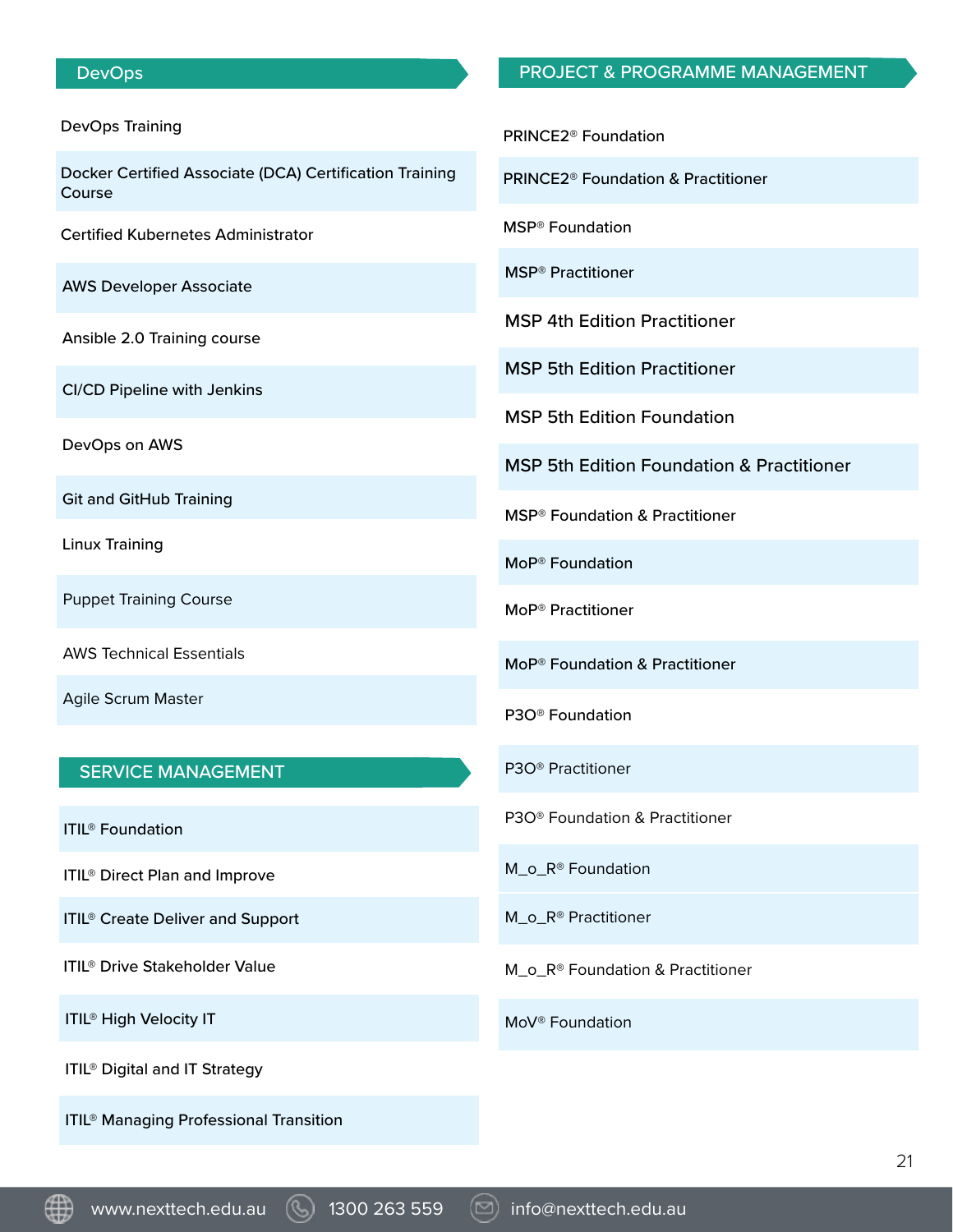#### **DevOps**

#### DevOps Training

Docker Certified Associate (DCA) Certification Training Course

Certified Kubernetes Administrator

AWS Developer Associate

Ansible 2.0 Training course

CI/CD Pipeline with Jenkins

DevOps on AWS

Git and GitHub Training

Linux Training

Puppet Training Course

AWS Technical Essentials

Agile Scrum Master

#### SERVICE MANAGEMENT

ITIL® Foundation

ITIL® Direct Plan and Improve

ITIL® Create Deliver and Support

ITIL® Drive Stakeholder Value

ITIL® High Velocity IT

ITIL® Digital and IT Strategy

ITIL® Managing Professional Transition

#### PROJECT & PROGRAMME MANAGEMENT

PRINCE2® Foundation

PRINCE2® Foundation & Practitioner

MSP® Foundation

MSP® Practitioner

MSP 4th Edition Practitioner

MSP 5th Edition Practitioner

MSP 5th Edition Foundation

MSP 5th Edition Foundation & Practitioner

MSP® Foundation & Practitioner

MoP® Foundation

MoP® Practitioner

MoP® Foundation & Practitioner

P3O® Foundation

P3O® Practitioner

P3O® Foundation & Practitioner

M\_o\_R® Foundation

M o R<sup>®</sup> Practitioner

M\_o\_R® Foundation & Practitioner

MoV® Foundation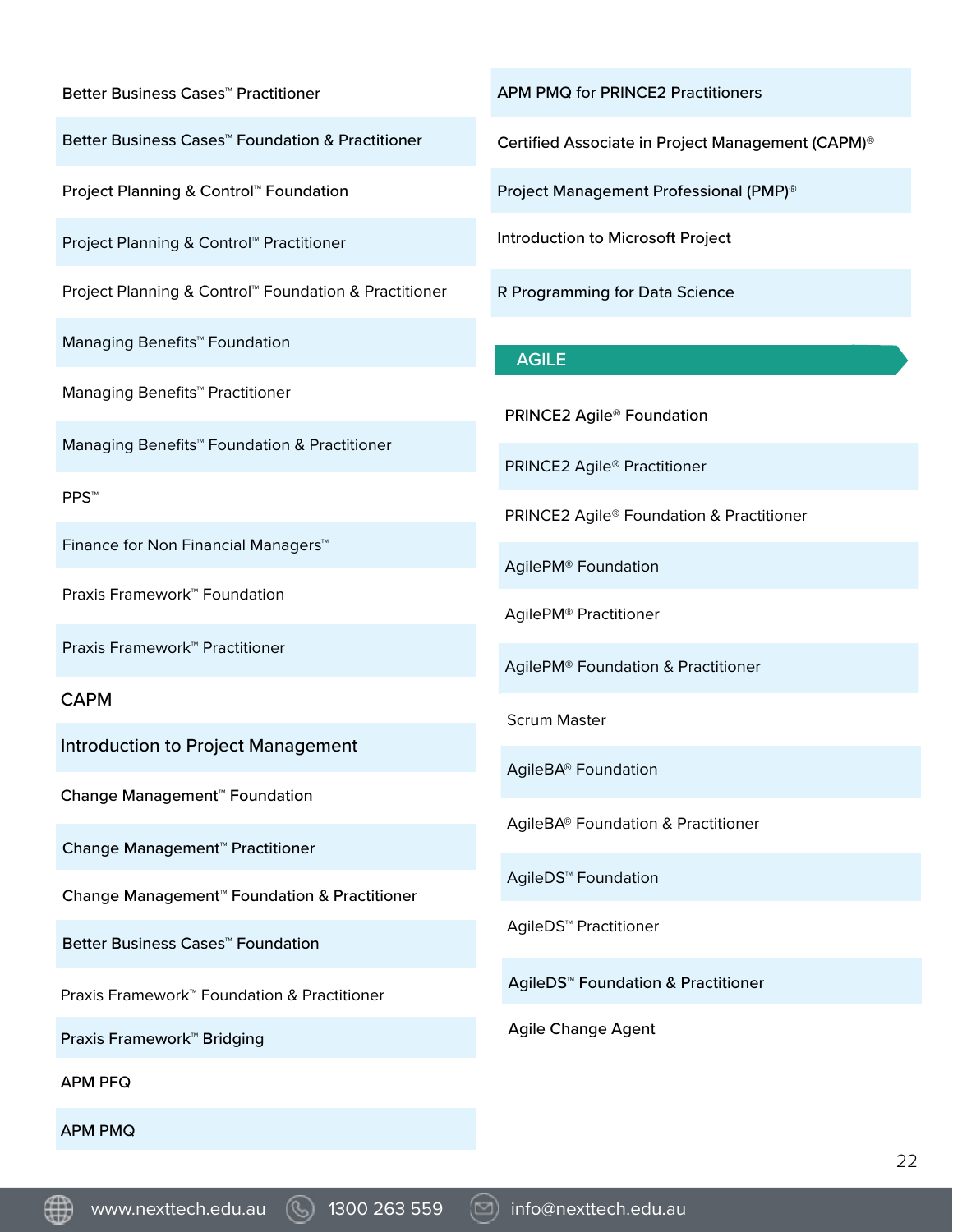Better Business Cases™ Practitioner

Better Business Cases™ Foundation & Practitioner

Project Planning & Control™ Foundation

Project Planning & Control™ Practitioner

Project Planning & Control™ Foundation & Practitioner

Managing Benefits™ Foundation

Managing Benefits™ Practitioner

Managing Benefits™ Foundation & Practitioner

PPS™

Finance for Non Financial Managers™

Praxis Framework™ Foundation

Praxis Framework™ Practitioner

CAPM

Introduction to Project Management

Change Management™ Foundation

Change Management™ Practitioner

Change Management™ Foundation & Practitioner

Better Business Cases™ Foundation

Praxis Framework™ Foundation & Practitioner

Praxis Framework™ Bridging

APM PFQ

APM PMQ

APM PMQ for PRINCE2 Practitioners

Certified Associate in Project Management (CAPM)®

Project Management Professional (PMP)®

Introduction to Microsoft Project

R Programming for Data Science

#### AGILE

PRINCE2 Agile® Foundation

PRINCE2 Agile® Practitioner

PRINCE2 Agile® Foundation & Practitioner

AgilePM® Foundation

AgilePM® Practitioner

AgilePM® Foundation & Practitioner

Scrum Master

AgileBA® Foundation

AgileBA® Foundation & Practitioner

AgileDS™ Foundation

AgileDS™ Practitioner

AgileDS™ Foundation & Practitioner

Agile Change Agent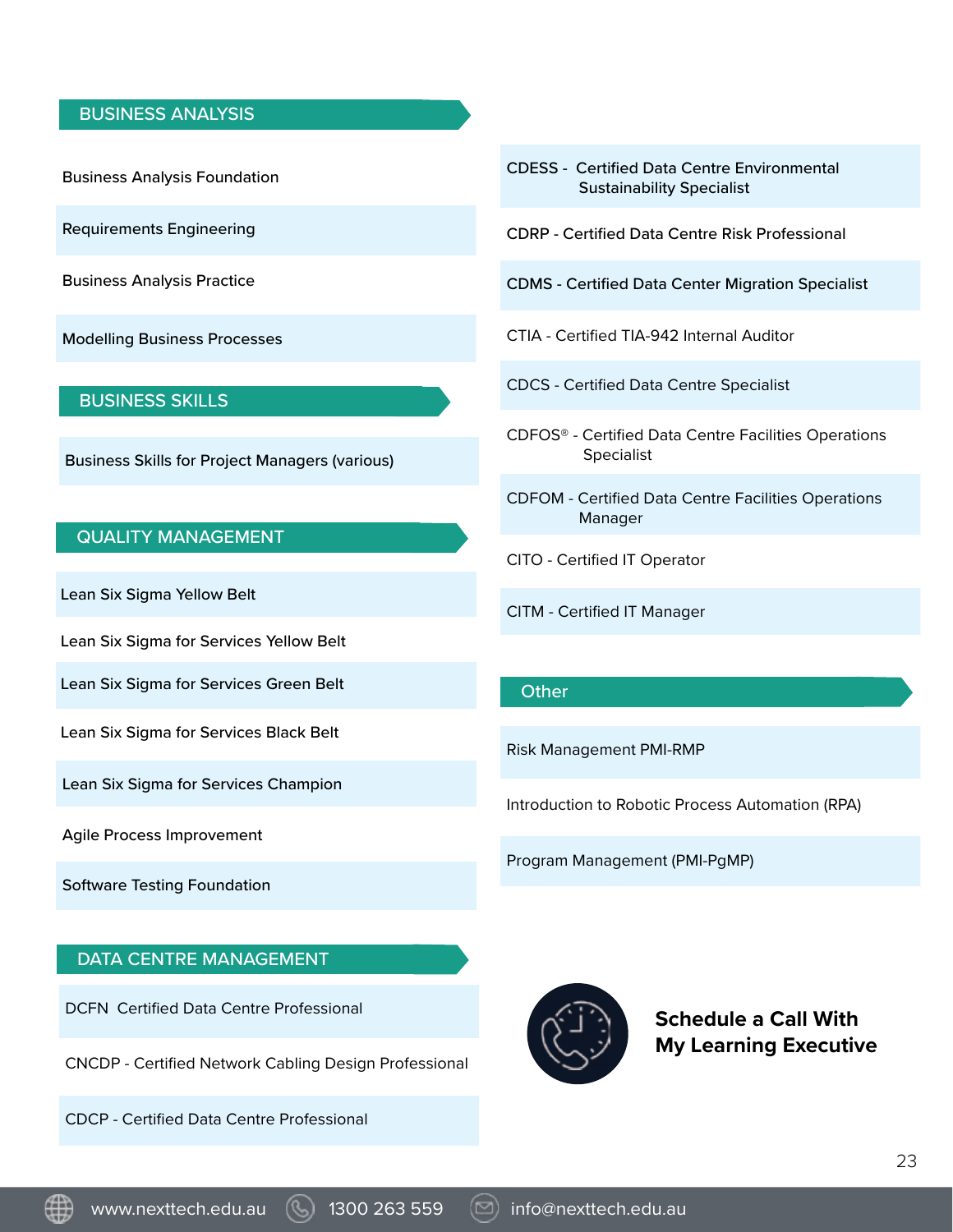#### BUSINESS ANALYSIS

Business Analysis Foundation

Requirements Engineering

Business Analysis Practice

Modelling Business Processes

#### BUSINESS SKILLS

Business Skills for Project Managers (various)

#### QUALITY MANAGEMENT

Lean Six Sigma Yellow Belt

Lean Six Sigma for Services Yellow Belt

Lean Six Sigma for Services Green Belt

Lean Six Sigma for Services Black Belt

Lean Six Sigma for Services Champion

Agile Process Improvement

Software Testing Foundation

#### DATA CENTRE MANAGEMENT

DCFN Certified Data Centre Professional

CNCDP - Certified Network Cabling Design Professional

CDCP - Certified Data Centre Professional

- CDESS Certified Data Centre Environmental Sustainability Specialist
- CDRP Certified Data Centre Risk Professional
- CDMS Certified Data Center Migration Specialist
- CTIA Certified TIA-942 Internal Auditor
- CDCS Certified Data Centre Specialist
- CDFOS® Certified Data Centre Facilities Operations Specialist
- CDFOM Certified Data Centre Facilities Operations Manager
- CITO Certified IT Operator
- CITM Certified IT Manager

#### **Other**

Risk Management PMI-RMP

Introduction to Robotic Process Automation (RPA)

Program Management (PMI-PgMP)



**Schedule a Call With My Learning Executive**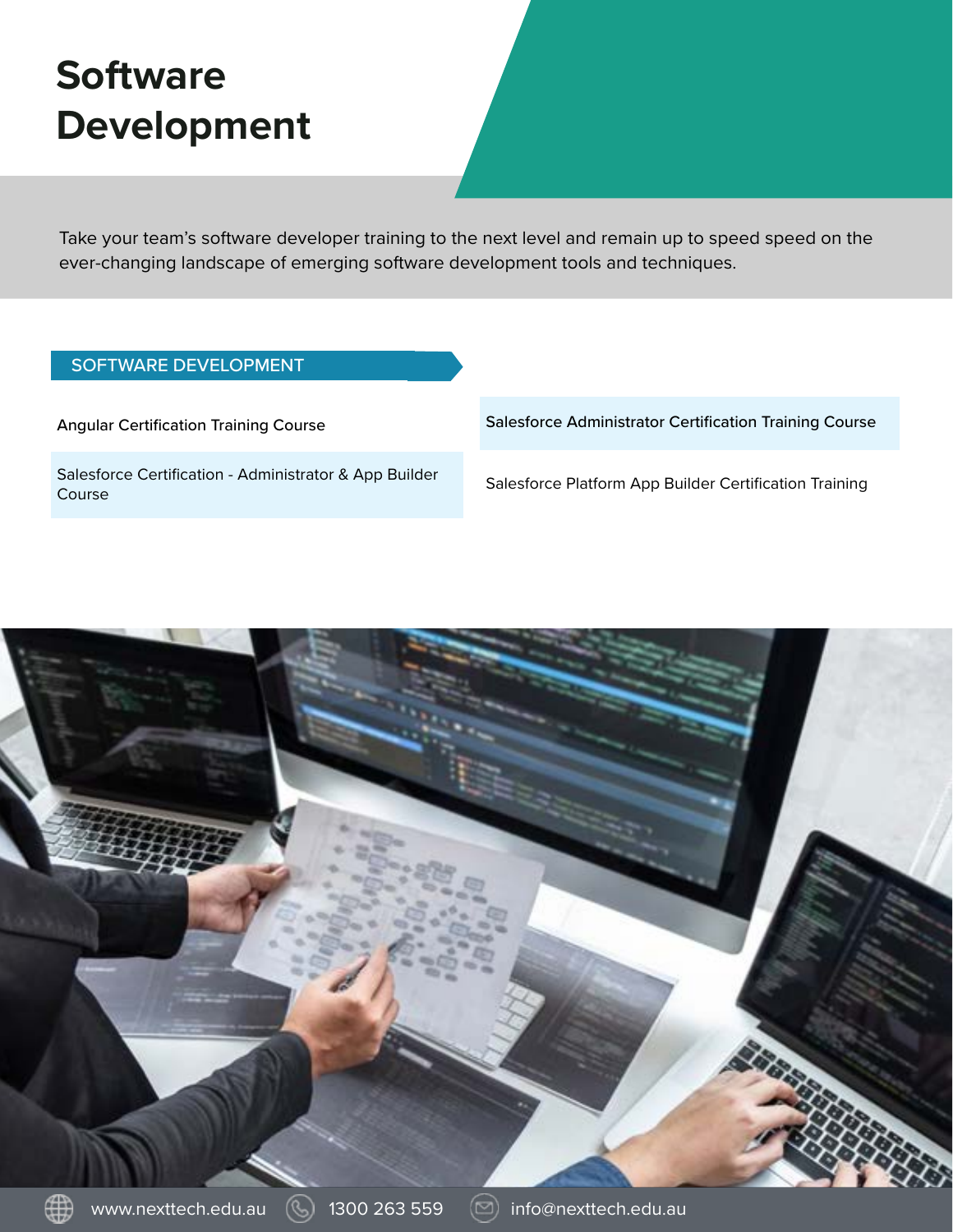# **Software Development**

Take your team's software developer training to the next level and remain up to speed speed on the ever-changing landscape of emerging software development tools and techniques.

#### SOFTWARE DEVELOPMENT

Angular Certification Training Course

Salesforce Certification - Administrator & App Builder Course

Salesforce Administrator Certification Training Course

Salesforce Platform App Builder Certification Training

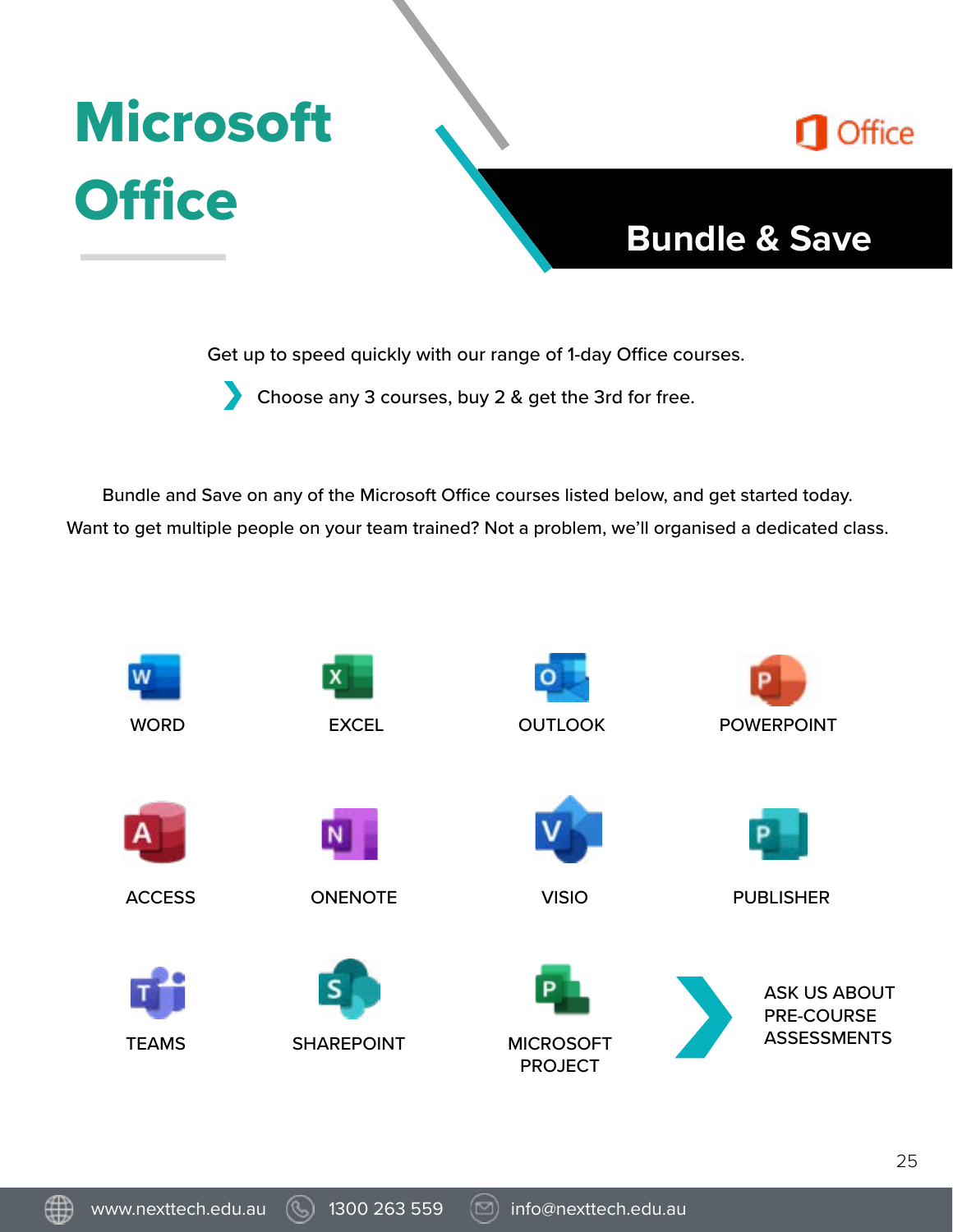# **Microsoft Office**



### **Bundle & Save**

Get up to speed quickly with our range of 1-day Office courses.

Choose any 3 courses, buy 2 & get the 3rd for free.

Bundle and Save on any of the Microsoft Office courses listed below, and get started today. Want to get multiple people on your team trained? Not a problem, we'll organised a dedicated class.

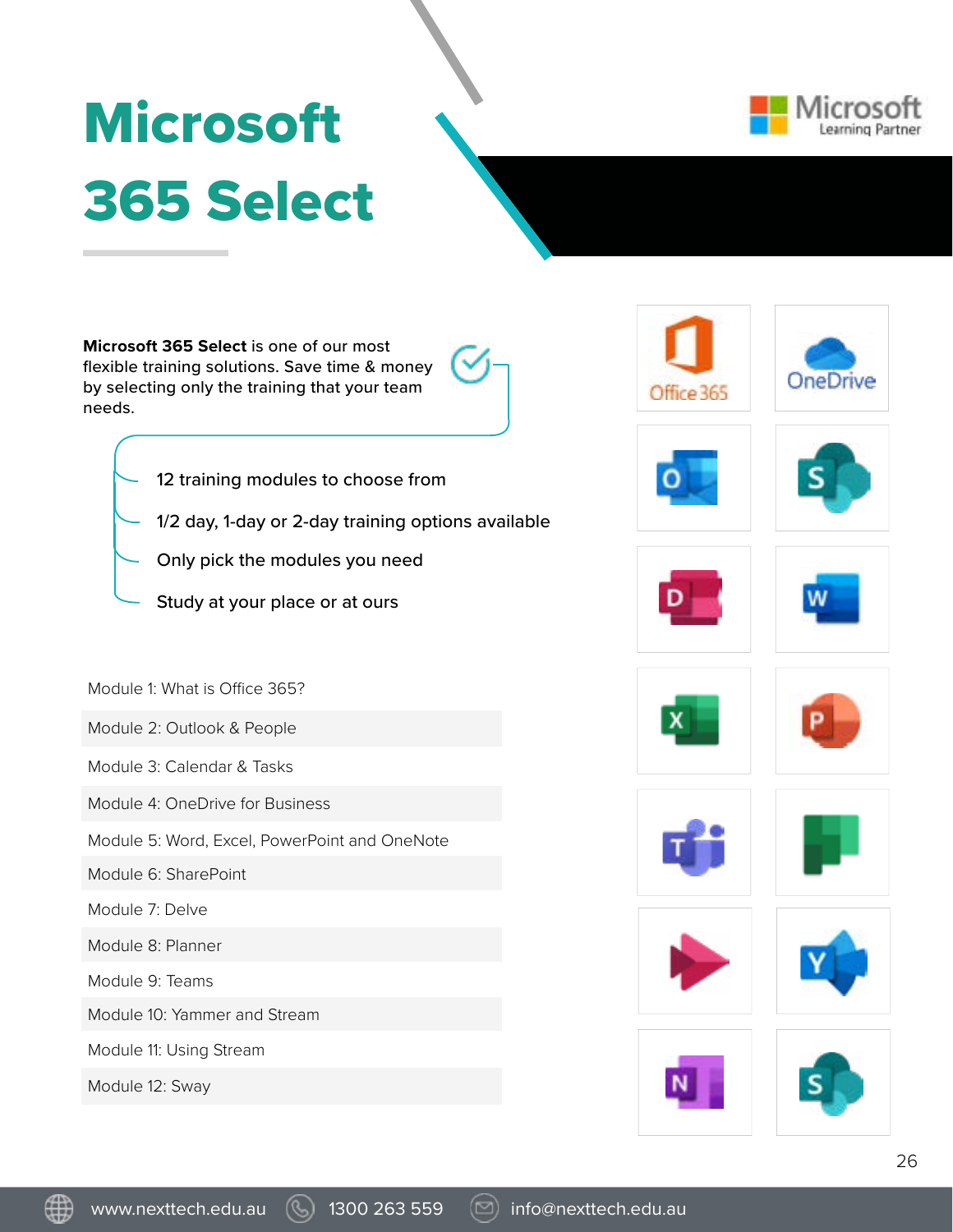# **Microsoft** 365 Select



**Microsoft 365 Select** is one of our most flexible training solutions. Save time & money by selecting only the training that your team needs.



- 12 training modules to choose from
- 1/2 day, 1-day or 2-day training options available
	- Only pick the modules you need
- Study at your place or at ours

Module 1: What is Office 365?

Module 2: Outlook & People

Module 3: Calendar & Tasks

Module 4: OneDrive for Business

Module 5: Word, Excel, PowerPoint and OneNote

Module 6: SharePoint

Module 7: Delve

Module 8: Planner

Module 9: Teams

Module 10: Yammer and Stream

Module 11: Using Stream

Module 12: Sway





























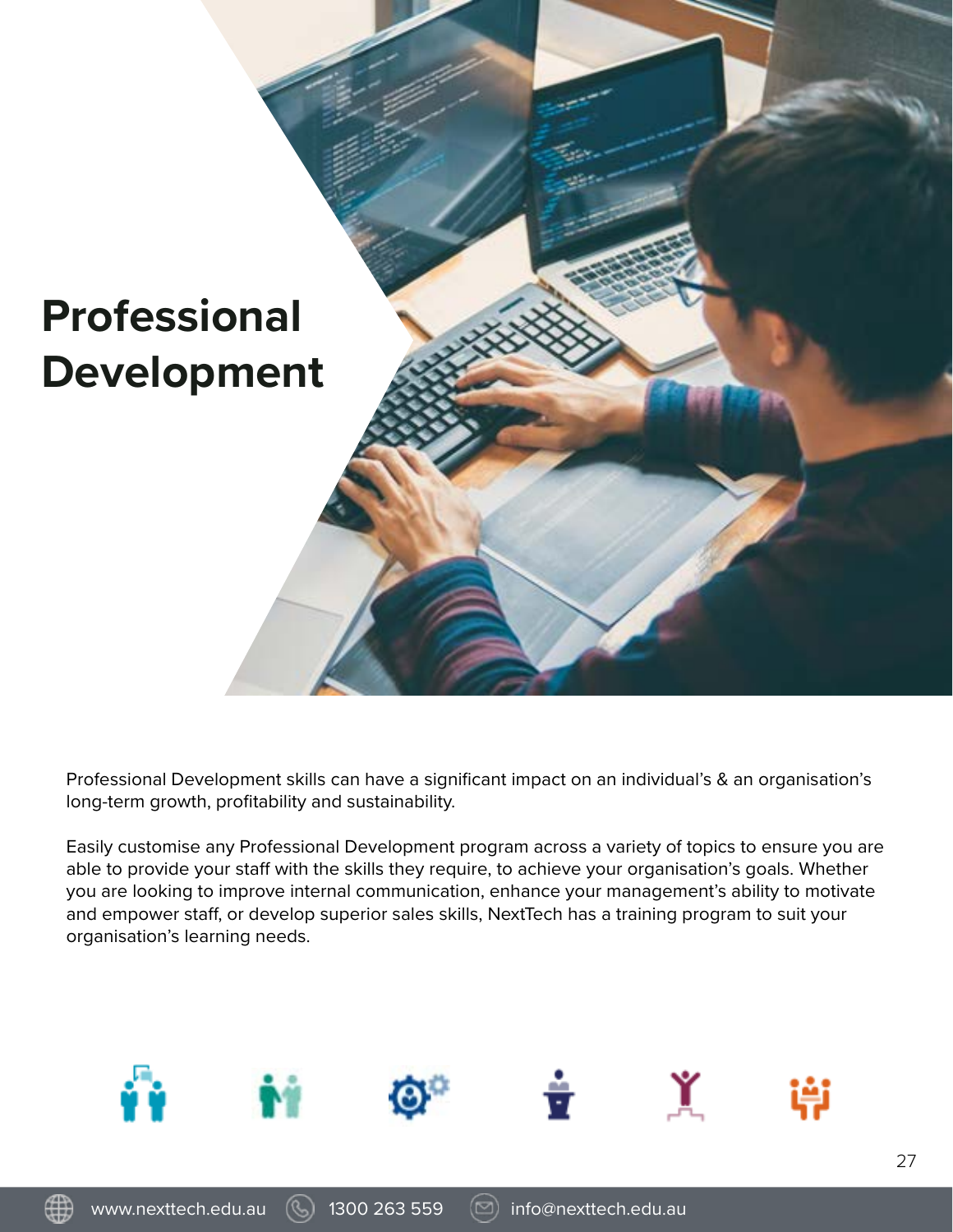

Professional Development skills can have a significant impact on an individual's & an organisation's long-term growth, profitability and sustainability.

Easily customise any Professional Development program across a variety of topics to ensure you are able to provide your staff with the skills they require, to achieve your organisation's goals. Whether you are looking to improve internal communication, enhance your management's ability to motivate and empower staff, or develop superior sales skills, NextTech has a training program to suit your organisation's learning needs.

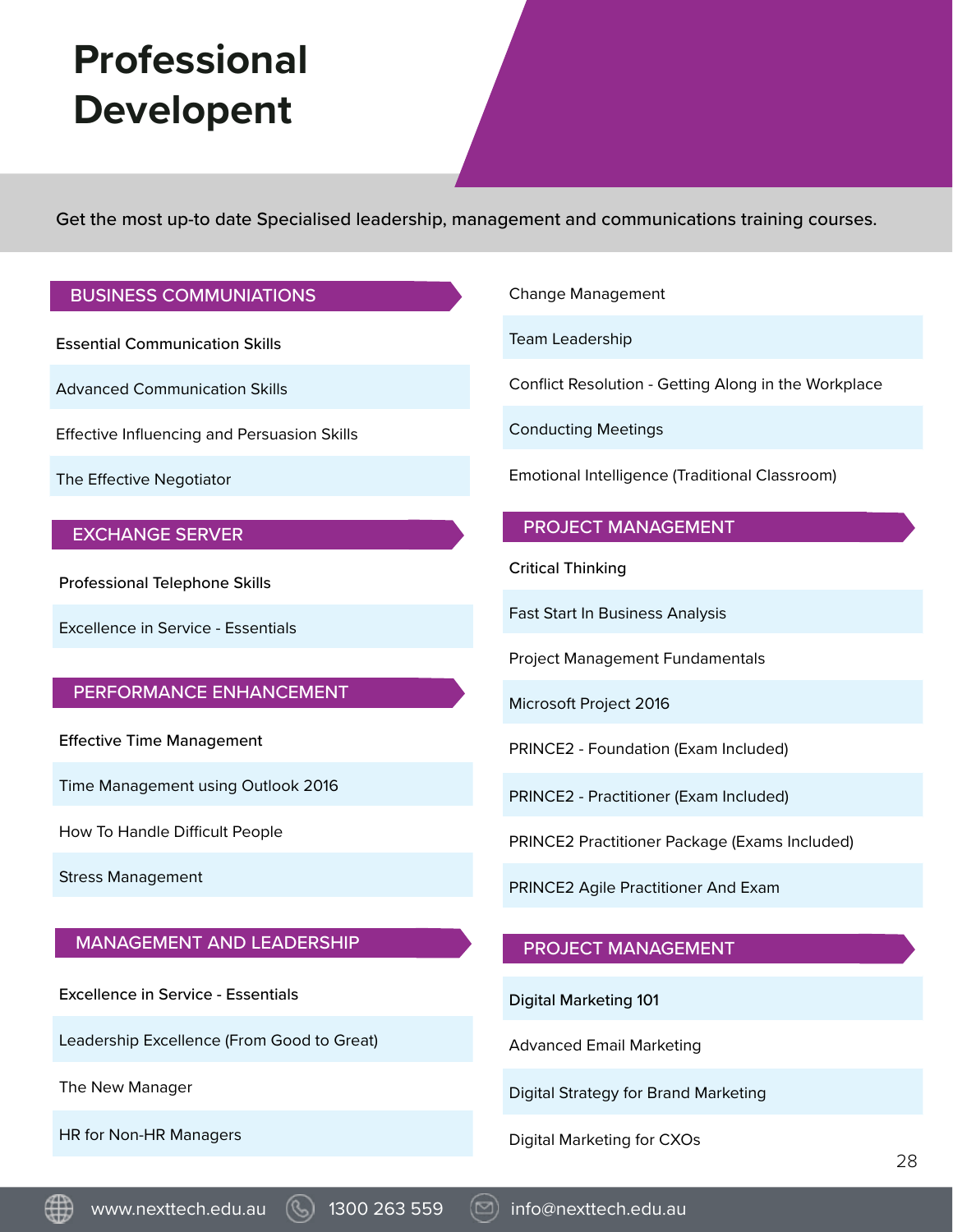# **Professional Developent**

Get the most up-to date Specialised leadership, management and communications training courses.

#### BUSINESS COMMUNIATIONS

Essential Communication Skills

Advanced Communication Skills

Effective Influencing and Persuasion Skills

The Effective Negotiator

#### EXCHANGE SERVER

Professional Telephone Skills

Excellence in Service - Essentials

#### PERFORMANCE ENHANCEMENT

Effective Time Management

Time Management using Outlook 2016

How To Handle Difficult People

Stress Management

#### MANAGEMENT AND LEADERSHIP

Excellence in Service - Essentials

Leadership Excellence (From Good to Great)

The New Manager

HR for Non-HR Managers

Change Management

Team Leadership

Conflict Resolution - Getting Along in the Workplace

Conducting Meetings

Emotional Intelligence (Traditional Classroom)

#### PROJECT MANAGEMENT

Critical Thinking

Fast Start In Business Analysis

Project Management Fundamentals

Microsoft Project 2016

PRINCE2 - Foundation (Exam Included)

PRINCE2 - Practitioner (Exam Included)

PRINCE2 Practitioner Package (Exams Included)

PRINCE2 Agile Practitioner And Exam

#### PROJECT MANAGEMENT

Digital Marketing 101

Advanced Email Marketing

Digital Strategy for Brand Marketing

Digital Marketing for CXOs



www.nexttech.edu.au (4) 1300 263 559 (20) info@nexttech.edu.au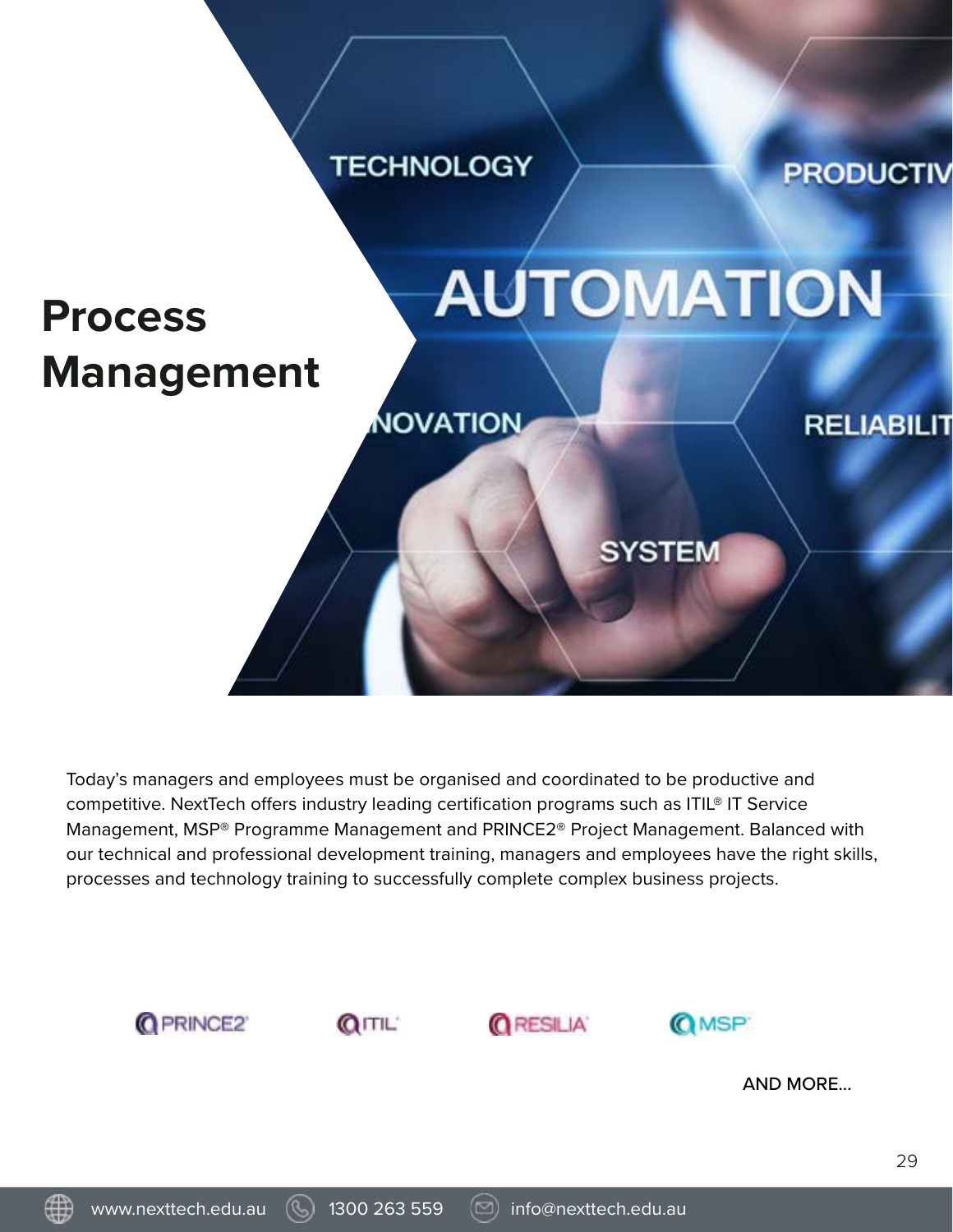

Today's managers and employees must be organised and coordinated to be productive and competitive. NextTech offers industry leading certification programs such as ITIL® IT Service Management, MSP® Programme Management and PRINCE2® Project Management. Balanced with our technical and professional development training, managers and employees have the right skills, processes and technology training to successfully complete complex business projects.

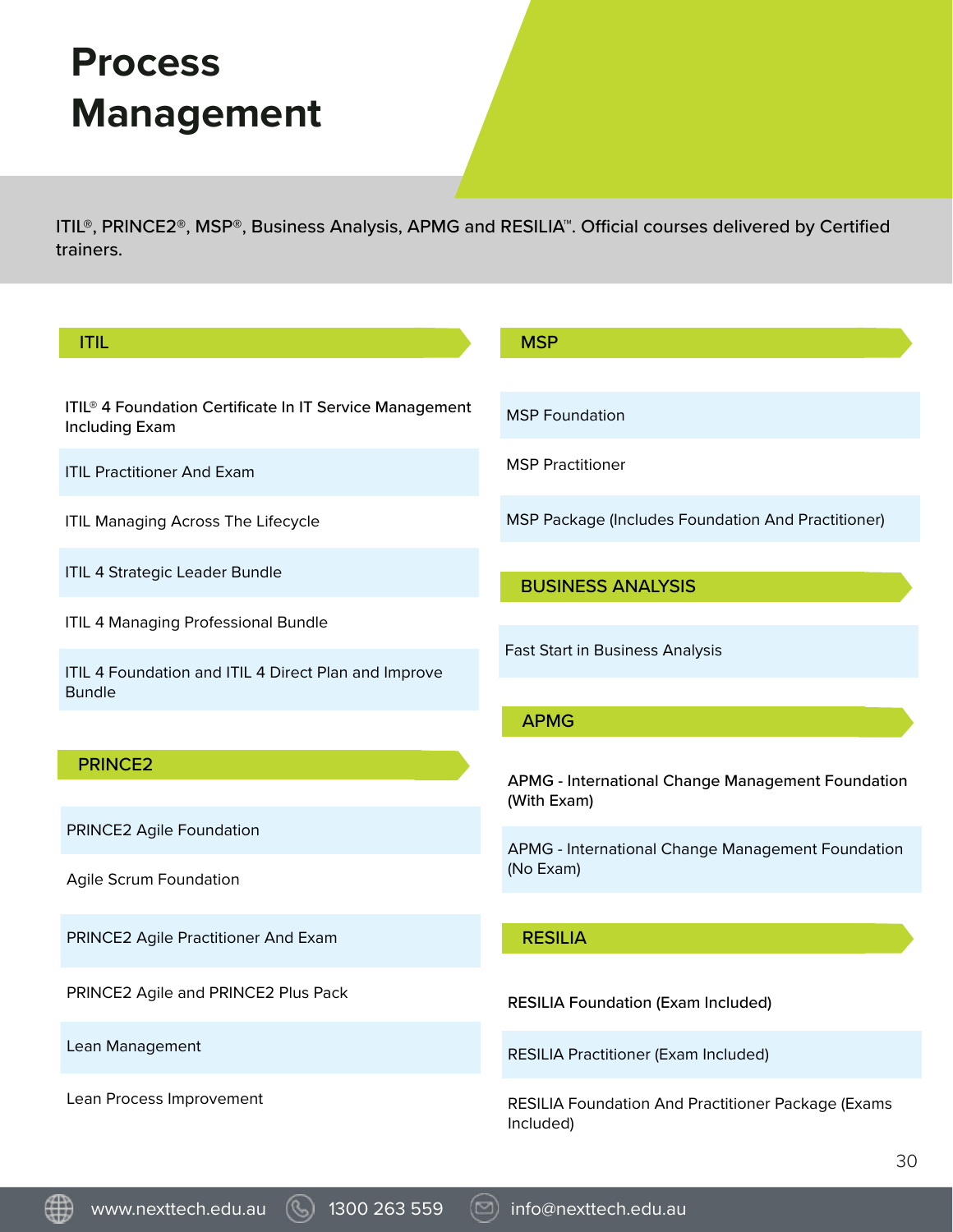## **Process Management**

ITIL®, PRINCE2®, MSP®, Business Analysis, APMG and RESILIA™. Official courses delivered by Certified trainers.

| <b>ITIL</b>                                                                                  | <b>MSP</b>                                                              |
|----------------------------------------------------------------------------------------------|-------------------------------------------------------------------------|
| ITIL <sup>®</sup> 4 Foundation Certificate In IT Service Management<br><b>Including Exam</b> | <b>MSP Foundation</b>                                                   |
| <b>ITIL Practitioner And Exam</b>                                                            | <b>MSP Practitioner</b>                                                 |
| <b>ITIL Managing Across The Lifecycle</b>                                                    | <b>MSP Package (Includes Foundation And Practitioner)</b>               |
| ITIL 4 Strategic Leader Bundle                                                               | <b>BUSINESS ANALYSIS</b>                                                |
| <b>ITIL 4 Managing Professional Bundle</b>                                                   |                                                                         |
| ITIL 4 Foundation and ITIL 4 Direct Plan and Improve<br><b>Bundle</b>                        | <b>Fast Start in Business Analysis</b>                                  |
|                                                                                              | <b>APMG</b>                                                             |
|                                                                                              |                                                                         |
| <b>PRINCE2</b>                                                                               | <b>APMG - International Change Management Foundation</b><br>(With Exam) |
| PRINCE2 Agile Foundation                                                                     |                                                                         |
| Agile Scrum Foundation                                                                       | APMG - International Change Management Foundation<br>(No Exam)          |
| PRINCE2 Agile Practitioner And Exam                                                          | <b>RESILIA</b>                                                          |
| PRINCE2 Agile and PRINCE2 Plus Pack                                                          | <b>RESILIA Foundation (Exam Included)</b>                               |
| Lean Management                                                                              | <b>RESILIA Practitioner (Exam Included)</b>                             |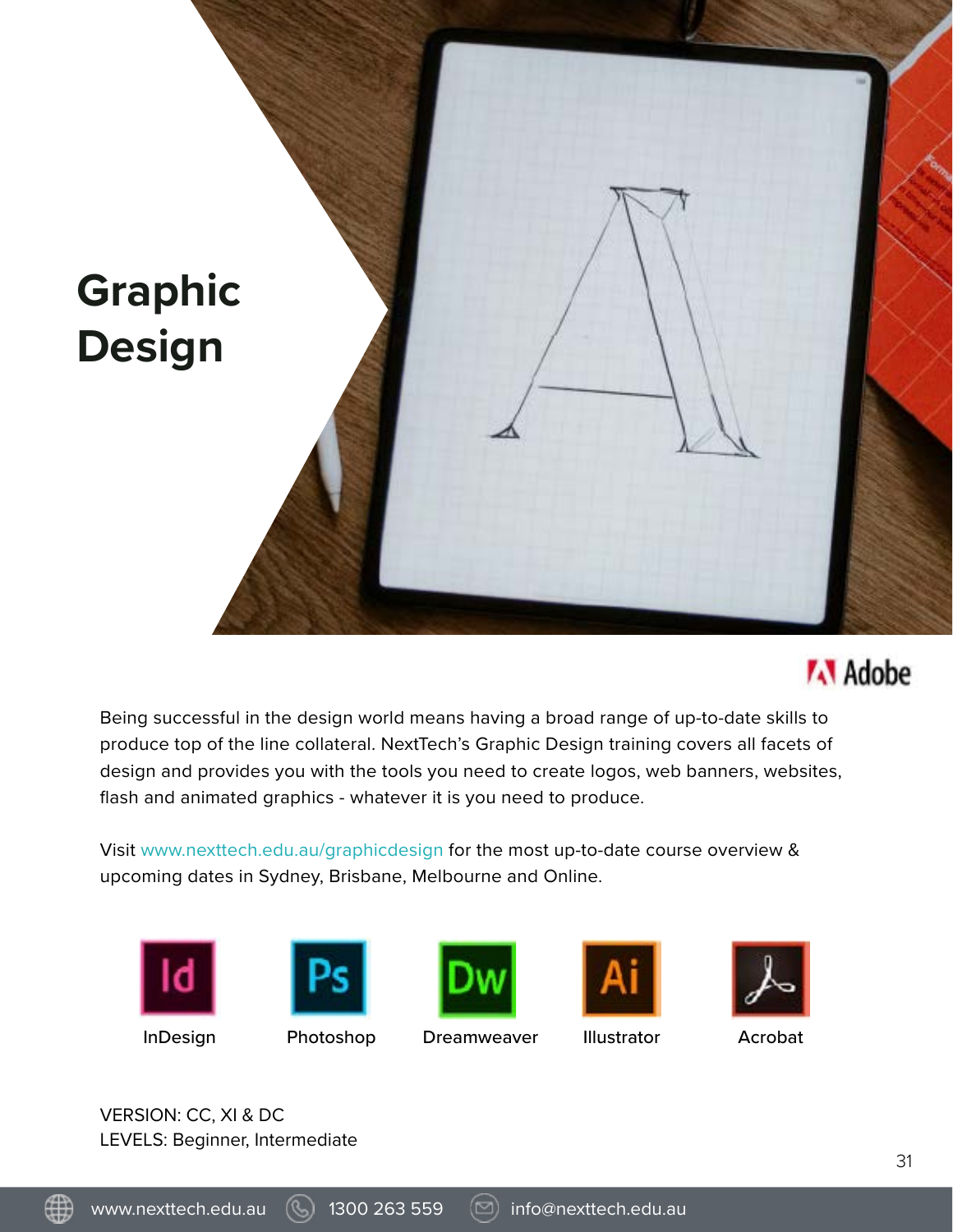



Being successful in the design world means having a broad range of up-to-date skills to produce top of the line collateral. NextTech's Graphic Design training covers all facets of design and provides you with the tools you need to create logos, web banners, websites, flash and animated graphics - whatever it is you need to produce.

Visit [www.nexttech.edu.au/graphicdesign](http://www.nexttech.edu.au/graphicdesign) for the most up-to-date course overview & upcoming dates in Sydney, Brisbane, Melbourne and Online.











VERSION: CC, XI & DC LEVELS: Beginner, Intermediate